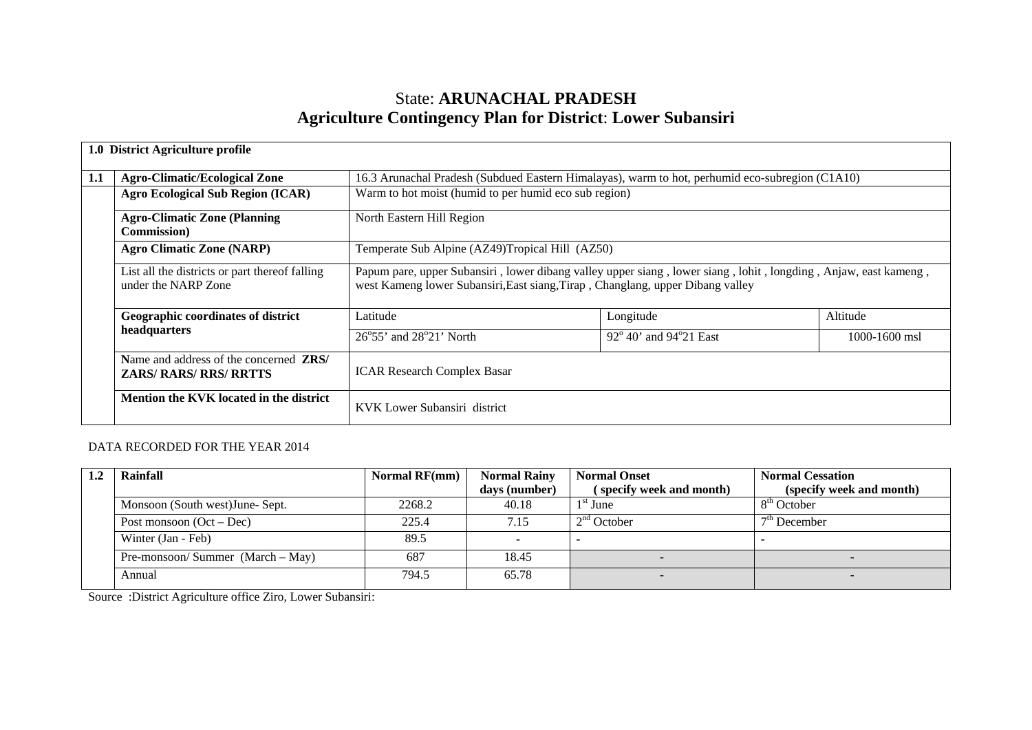# State: **ARUNACHAL PRADESH Agriculture Contingency Plan for District**: **Lower Subansiri**

|     | 1.0 District Agriculture profile                                                |                                                                                                                                                                                                   |                                                                                                 |               |  |  |  |  |  |  |
|-----|---------------------------------------------------------------------------------|---------------------------------------------------------------------------------------------------------------------------------------------------------------------------------------------------|-------------------------------------------------------------------------------------------------|---------------|--|--|--|--|--|--|
| 1.1 | <b>Agro-Climatic/Ecological Zone</b>                                            |                                                                                                                                                                                                   | 16.3 Arunachal Pradesh (Subdued Eastern Himalayas), warm to hot, perhumid eco-subregion (C1A10) |               |  |  |  |  |  |  |
|     | <b>Agro Ecological Sub Region (ICAR)</b>                                        | Warm to hot moist (humid to per humid eco sub region)                                                                                                                                             |                                                                                                 |               |  |  |  |  |  |  |
|     | <b>Agro-Climatic Zone (Planning</b><br><b>Commission</b> )                      | North Eastern Hill Region                                                                                                                                                                         |                                                                                                 |               |  |  |  |  |  |  |
|     | <b>Agro Climatic Zone (NARP)</b>                                                |                                                                                                                                                                                                   | Temperate Sub Alpine (AZ49)Tropical Hill (AZ50)                                                 |               |  |  |  |  |  |  |
|     | List all the districts or part thereof falling<br>under the NARP Zone           | Papum pare, upper Subansiri, lower dibang valley upper siang, lower siang, lohit, longding, Anjaw, east kameng,<br>west Kameng lower Subansiri, East siang, Tirap, Changlang, upper Dibang valley |                                                                                                 |               |  |  |  |  |  |  |
|     | Geographic coordinates of district                                              | Latitude                                                                                                                                                                                          | Longitude                                                                                       | Altitude      |  |  |  |  |  |  |
|     | headquarters                                                                    | $26^{\circ}55'$ and $28^{\circ}21'$ North                                                                                                                                                         | $92^{\circ}$ 40' and $94^{\circ}$ 21 East                                                       | 1000-1600 msl |  |  |  |  |  |  |
|     | Name and address of the concerned <b>ZRS</b> /<br><b>ZARS/ RARS/ RRS/ RRTTS</b> | <b>ICAR Research Complex Basar</b>                                                                                                                                                                |                                                                                                 |               |  |  |  |  |  |  |
|     | Mention the KVK located in the district                                         | KVK Lower Subansiri district                                                                                                                                                                      |                                                                                                 |               |  |  |  |  |  |  |

## DATA RECORDED FOR THE YEAR 2014

| Rainfall                            | <b>Normal RF(mm)</b> | <b>Normal Rainy</b><br>days (number) | <b>Normal Onset</b><br>(specify week and month) | <b>Normal Cessation</b><br>(specify week and month) |
|-------------------------------------|----------------------|--------------------------------------|-------------------------------------------------|-----------------------------------------------------|
| Monsoon (South west) June-Sept.     | 2268.2               | 40.18                                | $1st$ June                                      | 8 <sup>th</sup> October                             |
| 225.4<br>Post monsoon $(Oct - Dec)$ |                      | 7.15                                 | $2nd$ October                                   | $7th$ December                                      |
| Winter (Jan - Feb)                  | 89.5                 |                                      |                                                 |                                                     |
| Pre-monsoon/Summer $(March - May)$  | 687                  | 18.45                                |                                                 |                                                     |
| Annual                              | 794.5                | 65.78                                |                                                 |                                                     |

Source :District Agriculture office Ziro, Lower Subansiri: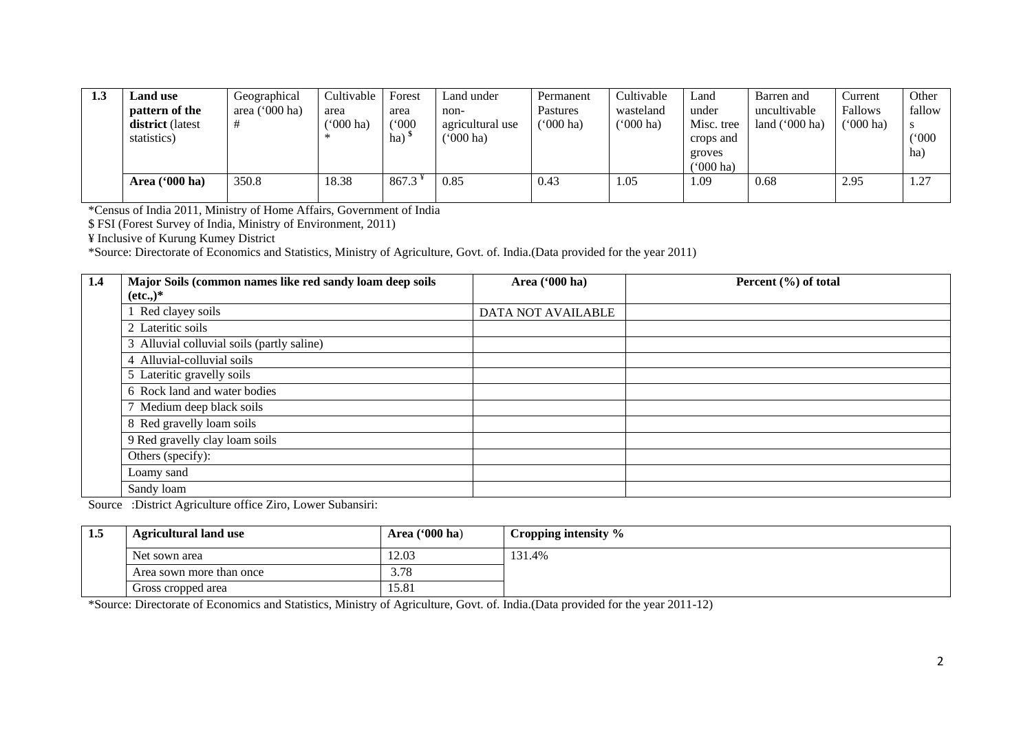| 1.3 | Land use         | Geographical   | Cultivable         | Forest | Land under         | Permanent   | Cultivable           | Land       | Barren and       | Current   | Other        |
|-----|------------------|----------------|--------------------|--------|--------------------|-------------|----------------------|------------|------------------|-----------|--------------|
|     | pattern of the   | area ('000 ha) | area               | area   | non-               | Pastures    | wasteland            | under      | uncultivable     | Fallows   | fallow       |
|     | district (latest |                | $(000 \text{ ha})$ | (000)  | agricultural use   | $(000)$ ha) | $^{\prime}$ (000 ha) | Misc. tree | land $('000 ha)$ | ('000 ha) | <sup>S</sup> |
|     | statistics)      |                |                    | ha)    | $^{\prime}000$ ha) |             |                      | crops and  |                  |           | (000)        |
|     |                  |                |                    |        |                    |             |                      | groves     |                  |           | ha)          |
|     |                  |                |                    |        |                    |             |                      | ('000 ha)  |                  |           |              |
|     | Area ('000 ha)   | 350.8          | 18.38              | 867.3  | 0.85               | 0.43        | .05                  | .09        | 0.68             | 2.95      | 1.27         |
|     |                  |                |                    |        |                    |             |                      |            |                  |           |              |

\*Census of India 2011, Ministry of Home Affairs, Government of India

\$ FSI (Forest Survey of India, Ministry of Environment, 2011)

¥ Inclusive of Kurung Kumey District

\*Source: Directorate of Economics and Statistics, Ministry of Agriculture, Govt. of. India.(Data provided for the year 2011)

| 1.4 | Major Soils (common names like red sandy loam deep soils | Area ('000 ha)     | Percent $(\% )$ of total |
|-----|----------------------------------------------------------|--------------------|--------------------------|
|     | $(\text{etc.},)^*$                                       |                    |                          |
|     | Red clayey soils                                         | DATA NOT AVAILABLE |                          |
|     | 2 Lateritic soils                                        |                    |                          |
|     | 3 Alluvial colluvial soils (partly saline)               |                    |                          |
|     | 4 Alluvial-colluvial soils                               |                    |                          |
|     | 5 Lateritic gravelly soils                               |                    |                          |
|     | 6 Rock land and water bodies                             |                    |                          |
|     | 7 Medium deep black soils                                |                    |                          |
|     | 8 Red gravelly loam soils                                |                    |                          |
|     | 9 Red gravelly clay loam soils                           |                    |                          |
|     | Others (specify):                                        |                    |                          |
|     | Loamy sand                                               |                    |                          |
|     | Sandy loam                                               |                    |                          |

Source :District Agriculture office Ziro, Lower Subansiri:

| 1.5 | <b>Agricultural land use</b> | Area $(900 \text{ ha})$ | Cropping intensity % |
|-----|------------------------------|-------------------------|----------------------|
|     | Net sown area                | 12.03                   | 131.4%               |
|     | Area sown more than once     | 3.78                    |                      |
|     | Gross cropped area           | 15.81                   |                      |

\*Source: Directorate of Economics and Statistics, Ministry of Agriculture, Govt. of. India.(Data provided for the year 2011-12)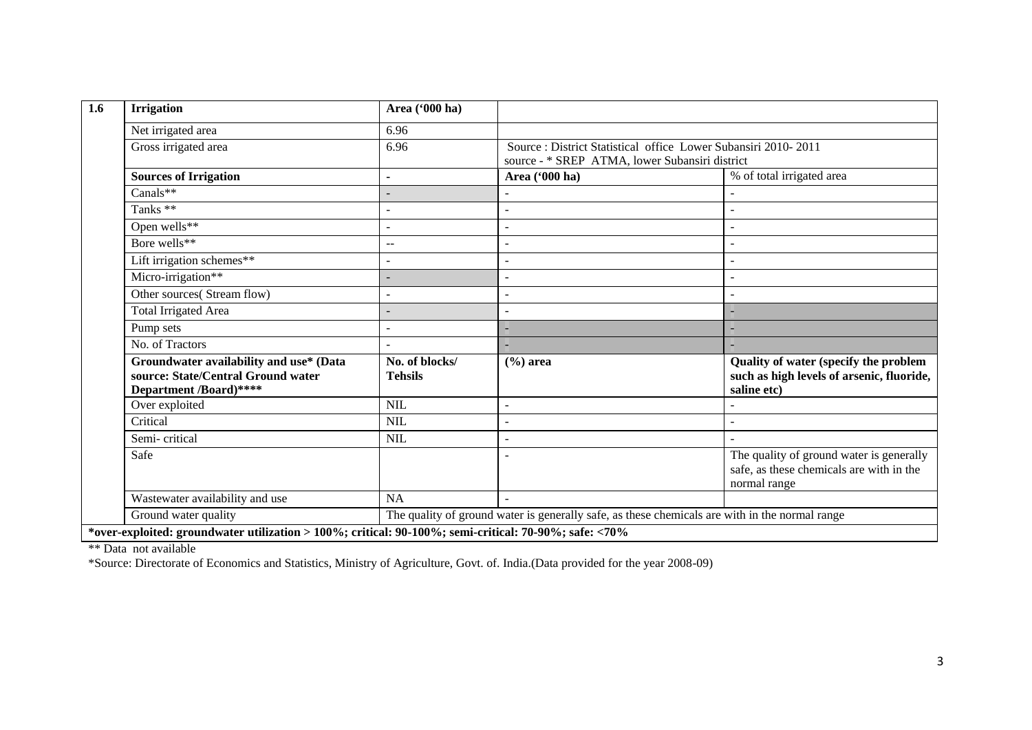| <b>Irrigation</b>                                                                                       | Area ('000 ha)                                                                                 |                                                                                                                  |                                                                                                      |  |  |  |
|---------------------------------------------------------------------------------------------------------|------------------------------------------------------------------------------------------------|------------------------------------------------------------------------------------------------------------------|------------------------------------------------------------------------------------------------------|--|--|--|
| Net irrigated area                                                                                      | 6.96                                                                                           |                                                                                                                  |                                                                                                      |  |  |  |
| Gross irrigated area                                                                                    | 6.96                                                                                           | Source : District Statistical office Lower Subansiri 2010-2011<br>source - * SREP ATMA, lower Subansiri district |                                                                                                      |  |  |  |
| <b>Sources of Irrigation</b>                                                                            |                                                                                                | Area ('000 ha)                                                                                                   | % of total irrigated area                                                                            |  |  |  |
| Canals**                                                                                                |                                                                                                |                                                                                                                  |                                                                                                      |  |  |  |
| Tanks **                                                                                                |                                                                                                |                                                                                                                  |                                                                                                      |  |  |  |
| Open wells**                                                                                            |                                                                                                |                                                                                                                  |                                                                                                      |  |  |  |
| Bore wells**                                                                                            | $-$                                                                                            |                                                                                                                  |                                                                                                      |  |  |  |
| Lift irrigation schemes**                                                                               |                                                                                                |                                                                                                                  |                                                                                                      |  |  |  |
| Micro-irrigation**                                                                                      |                                                                                                |                                                                                                                  |                                                                                                      |  |  |  |
| Other sources(Stream flow)                                                                              |                                                                                                |                                                                                                                  |                                                                                                      |  |  |  |
| <b>Total Irrigated Area</b>                                                                             |                                                                                                |                                                                                                                  |                                                                                                      |  |  |  |
| Pump sets                                                                                               |                                                                                                |                                                                                                                  |                                                                                                      |  |  |  |
| No. of Tractors                                                                                         |                                                                                                |                                                                                                                  |                                                                                                      |  |  |  |
| Groundwater availability and use* (Data<br>source: State/Central Ground water<br>Department /Board)**** | No. of blocks/<br><b>Tehsils</b>                                                               | $(\% )$ area                                                                                                     | Quality of water (specify the problem<br>such as high levels of arsenic, fluoride,<br>saline etc)    |  |  |  |
| Over exploited                                                                                          | <b>NIL</b>                                                                                     |                                                                                                                  |                                                                                                      |  |  |  |
| Critical                                                                                                | <b>NIL</b>                                                                                     |                                                                                                                  |                                                                                                      |  |  |  |
| Semi-critical                                                                                           | <b>NIL</b>                                                                                     |                                                                                                                  |                                                                                                      |  |  |  |
| Safe                                                                                                    |                                                                                                |                                                                                                                  | The quality of ground water is generally<br>safe, as these chemicals are with in the<br>normal range |  |  |  |
| Wastewater availability and use                                                                         | <b>NA</b>                                                                                      |                                                                                                                  |                                                                                                      |  |  |  |
| Ground water quality                                                                                    | The quality of ground water is generally safe, as these chemicals are with in the normal range |                                                                                                                  |                                                                                                      |  |  |  |

\*\* Data not available

\*Source: Directorate of Economics and Statistics, Ministry of Agriculture, Govt. of. India.(Data provided for the year 2008-09)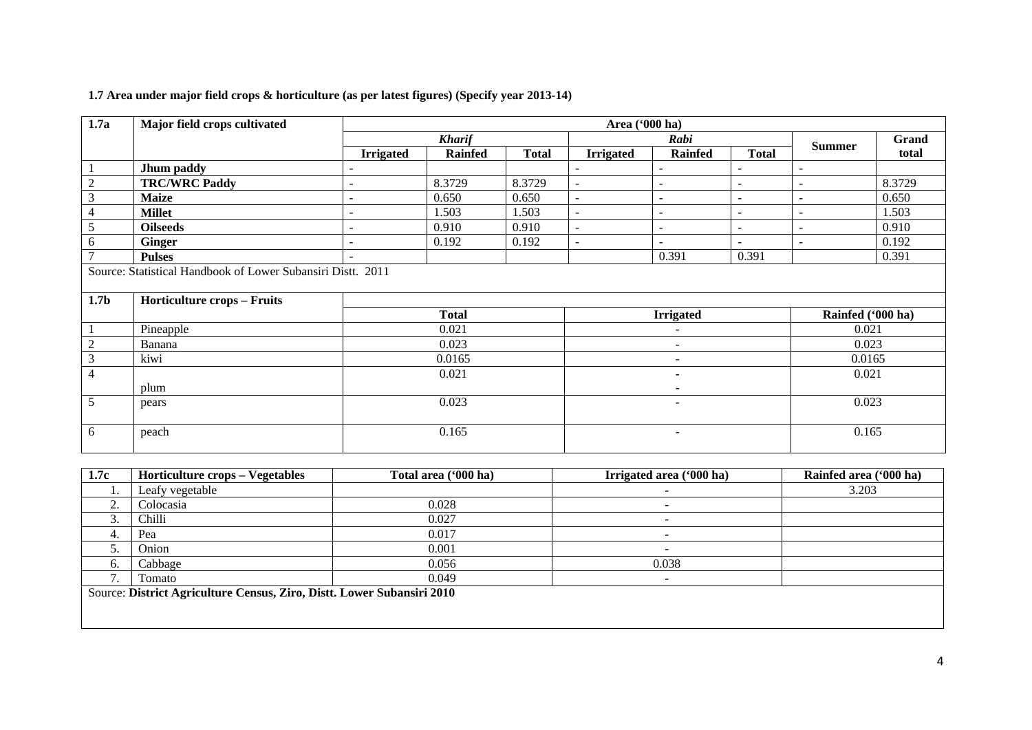| 1.7a             | Major field crops cultivated                                                                      |                  | Area ('000 ha) |              |                          |                          |                          |                          |        |  |  |  |  |
|------------------|---------------------------------------------------------------------------------------------------|------------------|----------------|--------------|--------------------------|--------------------------|--------------------------|--------------------------|--------|--|--|--|--|
|                  |                                                                                                   |                  | <b>Kharif</b>  |              |                          | Rabi                     |                          |                          | Grand  |  |  |  |  |
|                  |                                                                                                   | <b>Irrigated</b> | <b>Rainfed</b> | <b>Total</b> | <b>Irrigated</b>         | <b>Rainfed</b>           | <b>Total</b>             | <b>Summer</b>            | total  |  |  |  |  |
|                  | Jhum paddy                                                                                        | ۰                |                |              | $\overline{\phantom{a}}$ | $\sim$                   |                          | $\sim$                   |        |  |  |  |  |
| $\overline{2}$   | <b>TRC/WRC Paddy</b>                                                                              |                  | 8.3729         | 8.3729       | $\overline{\phantom{a}}$ | $\blacksquare$           |                          | $\blacksquare$           | 8.3729 |  |  |  |  |
| 3                | <b>Maize</b>                                                                                      | ۰                | 0.650          | 0.650        | $\sim$                   | $\overline{\phantom{a}}$ |                          | $\overline{\phantom{a}}$ | 0.650  |  |  |  |  |
| 4                | <b>Millet</b>                                                                                     | ۰                | 1.503          | 1.503        | $\sim$                   | $\sim$                   | $\overline{\phantom{a}}$ | $\overline{\phantom{a}}$ | 1.503  |  |  |  |  |
| 5                | <b>Oilseeds</b>                                                                                   |                  | 0.910          | 0.910        |                          | $\blacksquare$           |                          | $\overline{\phantom{a}}$ | 0.910  |  |  |  |  |
| 6                | <b>Ginger</b>                                                                                     | ۰                | 0.192          | 0.192        | $\sim$                   | $\blacksquare$           | $\overline{\phantom{a}}$ | $\sim$                   | 0.192  |  |  |  |  |
|                  | <b>Pulses</b>                                                                                     |                  |                |              |                          | 0.391                    | 0.391                    |                          | 0.391  |  |  |  |  |
| 1.7 <sub>b</sub> | Source: Statistical Handbook of Lower Subansiri Distt. 2011<br><b>Horticulture crops - Fruits</b> |                  |                |              |                          |                          |                          |                          |        |  |  |  |  |
|                  |                                                                                                   |                  | <b>Total</b>   |              |                          | <b>Irrigated</b>         | Rainfed ('000 ha)        |                          |        |  |  |  |  |
|                  | Pineapple                                                                                         |                  | 0.021          |              |                          |                          |                          | 0.021                    |        |  |  |  |  |
| $\overline{2}$   | Banana                                                                                            |                  | 0.023          |              |                          | $\overline{a}$           |                          | 0.023                    |        |  |  |  |  |
| $\mathfrak{Z}$   | kiwi                                                                                              |                  | 0.0165         |              |                          | $\overline{\phantom{a}}$ |                          | 0.0165                   |        |  |  |  |  |
| $\overline{4}$   |                                                                                                   |                  | 0.021          |              |                          | ٠                        |                          | 0.021                    |        |  |  |  |  |
|                  | plum                                                                                              |                  |                |              |                          |                          |                          |                          |        |  |  |  |  |
| 5                | pears                                                                                             | 0.023            |                |              | $\qquad \qquad -$        |                          |                          | 0.023                    |        |  |  |  |  |
| 6                | peach                                                                                             |                  | 0.165          |              | $\overline{\phantom{a}}$ |                          |                          | 0.165                    |        |  |  |  |  |

# **1.7 Area under major field crops & horticulture (as per latest figures) (Specify year 2013-14)**

| 1.7c | <b>Horticulture crops – Vegetables</b>                                 | Total area ('000 ha) | Irrigated area ('000 ha) | Rainfed area ('000 ha) |  |  |  |  |  |  |  |
|------|------------------------------------------------------------------------|----------------------|--------------------------|------------------------|--|--|--|--|--|--|--|
| . .  | Leafy vegetable                                                        |                      |                          | 3.203                  |  |  |  |  |  |  |  |
|      | Colocasia                                                              | 0.028                |                          |                        |  |  |  |  |  |  |  |
|      | Chilli                                                                 | 0.027                | -                        |                        |  |  |  |  |  |  |  |
|      | Pea                                                                    | 0.017                |                          |                        |  |  |  |  |  |  |  |
|      | Onion                                                                  | 0.001                |                          |                        |  |  |  |  |  |  |  |
| 6.   | Cabbage                                                                | 0.056                | 0.038                    |                        |  |  |  |  |  |  |  |
|      | Tomato                                                                 | 0.049                |                          |                        |  |  |  |  |  |  |  |
|      | Source: District Agriculture Census, Ziro, Distt. Lower Subansiri 2010 |                      |                          |                        |  |  |  |  |  |  |  |
|      |                                                                        |                      |                          |                        |  |  |  |  |  |  |  |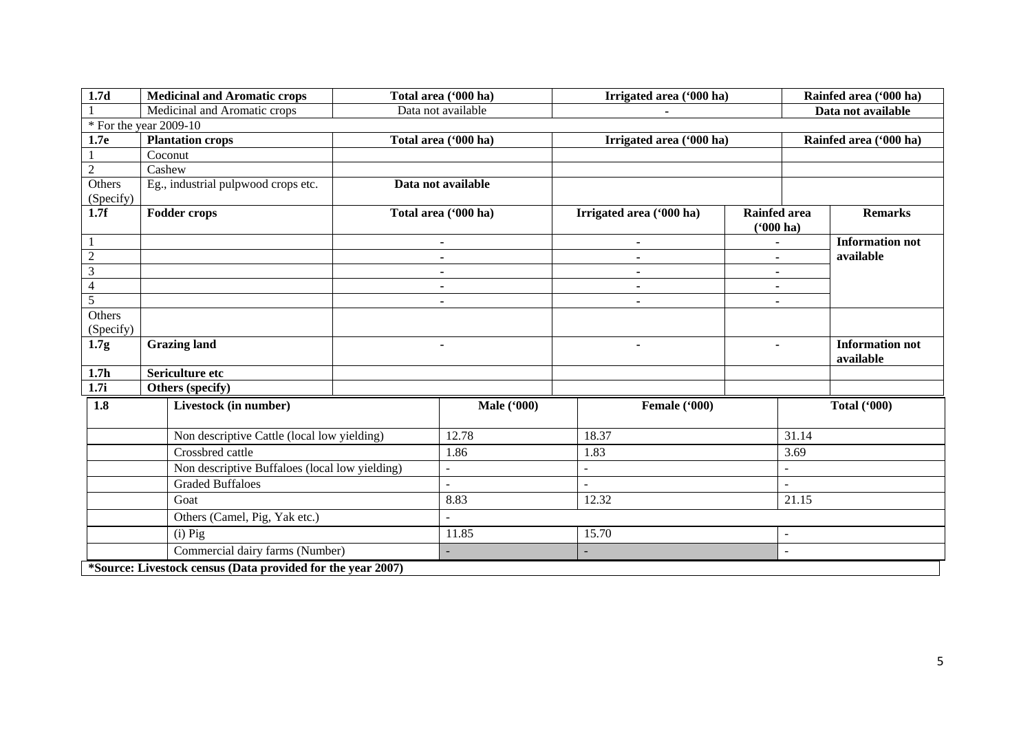| 1.7d             | <b>Medicinal and Aromatic crops</b>                         | Total area ('000 ha) |                                  | Irrigated area ('000 ha) |                                    | Rainfed area ('000 ha) |                                     |
|------------------|-------------------------------------------------------------|----------------------|----------------------------------|--------------------------|------------------------------------|------------------------|-------------------------------------|
|                  | Medicinal and Aromatic crops                                |                      | Data not available               |                          |                                    |                        | Data not available                  |
|                  | $*$ For the year 2009-10                                    |                      |                                  |                          |                                    |                        |                                     |
| 1.7e             | <b>Plantation crops</b>                                     |                      | Total area ('000 ha)             | Irrigated area ('000 ha) |                                    |                        | Rainfed area ('000 ha)              |
|                  | Coconut                                                     |                      |                                  |                          |                                    |                        |                                     |
| $\overline{2}$   | Cashew                                                      |                      |                                  |                          |                                    |                        |                                     |
| Others           | Eg., industrial pulpwood crops etc.                         |                      | Data not available               |                          |                                    |                        |                                     |
| (Specify)        |                                                             |                      |                                  |                          |                                    |                        |                                     |
| 1.7f             | <b>Fodder crops</b>                                         |                      | Total area ('000 ha)             | Irrigated area ('000 ha) | <b>Rainfed area</b><br>$(900)$ ha) |                        | <b>Remarks</b>                      |
|                  |                                                             |                      | $\blacksquare$                   | $\blacksquare$           |                                    |                        | <b>Information not</b>              |
|                  | $\overline{2}$                                              |                      | $\blacksquare$                   | $\blacksquare$           | $\blacksquare$                     |                        | available                           |
| 3                |                                                             |                      | $\blacksquare$                   | $\blacksquare$           | $\blacksquare$                     |                        |                                     |
|                  | $\overline{\mathcal{L}}$                                    |                      | $\blacksquare$                   | $\blacksquare$           | $\blacksquare$                     |                        |                                     |
| $\overline{5}$   |                                                             |                      | $\blacksquare$<br>$\blacksquare$ |                          | $\blacksquare$                     |                        |                                     |
| Others           |                                                             |                      |                                  |                          |                                    |                        |                                     |
| (Specify)        |                                                             |                      |                                  |                          |                                    |                        |                                     |
| 1.7g             | <b>Grazing land</b>                                         |                      | $\blacksquare$                   | $\blacksquare$           | $\blacksquare$                     |                        | <b>Information not</b><br>available |
| 1.7 <sub>h</sub> | Sericulture etc                                             |                      |                                  |                          |                                    |                        |                                     |
| 1.7i             | Others (specify)                                            |                      |                                  |                          |                                    |                        |                                     |
| 1.8              | Livestock (in number)                                       |                      | <b>Male</b> ('000)               | Female ('000)            |                                    | <b>Total ('000)</b>    |                                     |
|                  | Non descriptive Cattle (local low yielding)                 |                      | 12.78                            | 18.37                    |                                    | 31.14                  |                                     |
|                  | Crossbred cattle                                            |                      | 1.86                             | 1.83                     |                                    | 3.69                   |                                     |
|                  | Non descriptive Buffaloes (local low yielding)              |                      |                                  |                          |                                    | ÷,                     |                                     |
|                  | <b>Graded Buffaloes</b>                                     |                      |                                  |                          |                                    | $\mathbf{r}$           |                                     |
|                  | Goat                                                        |                      | 8.83                             | 12.32                    |                                    | 21.15                  |                                     |
|                  | Others (Camel, Pig, Yak etc.)                               |                      |                                  |                          |                                    |                        |                                     |
|                  | $(i)$ Pig                                                   |                      | 11.85                            | 15.70                    |                                    | $\blacksquare$         |                                     |
|                  | Commercial dairy farms (Number)                             |                      |                                  |                          |                                    |                        |                                     |
|                  | *Source: Livestock census (Data provided for the year 2007) |                      |                                  |                          |                                    |                        |                                     |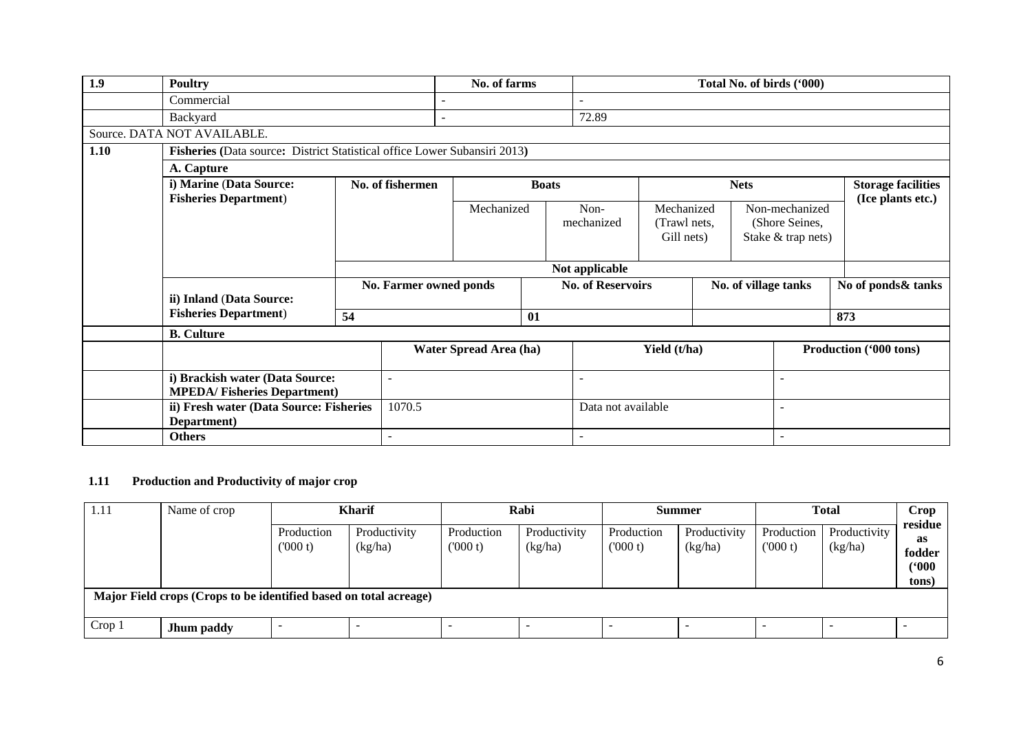| 1.9  | <b>Poultry</b>                                                            |    |                              | No. of farms           |                          |                    |                          |                      |                                          | Total No. of birds ('000) |                           |                                                        |                   |
|------|---------------------------------------------------------------------------|----|------------------------------|------------------------|--------------------------|--------------------|--------------------------|----------------------|------------------------------------------|---------------------------|---------------------------|--------------------------------------------------------|-------------------|
|      | Commercial                                                                |    |                              |                        |                          |                    |                          |                      |                                          |                           |                           |                                                        |                   |
|      | Backyard                                                                  |    |                              |                        |                          | 72.89              |                          |                      |                                          |                           |                           |                                                        |                   |
|      | Source. DATA NOT AVAILABLE.                                               |    |                              |                        |                          |                    |                          |                      |                                          |                           |                           |                                                        |                   |
| 1.10 | Fisheries (Data source: District Statistical office Lower Subansiri 2013) |    |                              |                        |                          |                    |                          |                      |                                          |                           |                           |                                                        |                   |
|      | A. Capture                                                                |    |                              |                        |                          |                    |                          |                      |                                          |                           |                           |                                                        |                   |
|      | i) Marine (Data Source:                                                   |    | No. of fishermen             | <b>Boats</b>           |                          |                    | <b>Nets</b>              |                      |                                          |                           | <b>Storage facilities</b> |                                                        |                   |
|      |                                                                           |    | <b>Fisheries Department)</b> |                        |                          |                    | Mechanized<br>mechanized |                      | Mechanized<br>(Trawl nets,<br>Gill nets) |                           |                           | Non-mechanized<br>(Shore Seines,<br>Stake & trap nets) | (Ice plants etc.) |
|      |                                                                           |    |                              |                        |                          | Not applicable     |                          |                      |                                          |                           |                           |                                                        |                   |
|      | ii) Inland (Data Source:                                                  |    | No. Farmer owned ponds       |                        | <b>No. of Reservoirs</b> |                    |                          | No. of village tanks |                                          | No of ponds& tanks        |                           |                                                        |                   |
|      | <b>Fisheries Department)</b>                                              | 54 |                              |                        | 01                       |                    |                          |                      |                                          |                           | 873                       |                                                        |                   |
|      | <b>B.</b> Culture                                                         |    |                              |                        |                          |                    |                          |                      |                                          |                           |                           |                                                        |                   |
|      |                                                                           |    |                              | Water Spread Area (ha) |                          |                    | Yield (t/ha)             |                      |                                          | Production ('000 tons)    |                           |                                                        |                   |
|      | i) Brackish water (Data Source:<br><b>MPEDA/Fisheries Department)</b>     |    | $\blacksquare$               |                        |                          |                    |                          |                      |                                          |                           |                           |                                                        |                   |
|      | ii) Fresh water (Data Source: Fisheries<br>Department)                    |    | 1070.5                       |                        |                          | Data not available |                          |                      |                                          | $\overline{\phantom{0}}$  |                           |                                                        |                   |
|      | <b>Others</b>                                                             |    | $\overline{\phantom{a}}$     |                        |                          |                    |                          |                      |                                          | $\overline{\phantom{a}}$  |                           |                                                        |                   |

# **1.11 Production and Productivity of major crop**

| 1.11<br>Name of crop                                              |            | <b>Kharif</b>         |                         |                       | Rabi                    |                       | <b>Summer</b>           |                       | <b>Total</b>            |                                           |  |  |
|-------------------------------------------------------------------|------------|-----------------------|-------------------------|-----------------------|-------------------------|-----------------------|-------------------------|-----------------------|-------------------------|-------------------------------------------|--|--|
|                                                                   |            | Production<br>(000 t) | Productivity<br>(kg/ha) | Production<br>(000 t) | Productivity<br>(kg/ha) | Production<br>(000 t) | Productivity<br>(kg/ha) | Production<br>(000 t) | Productivity<br>(kg/ha) | residue<br>as<br>fodder<br>(900)<br>tons) |  |  |
| Major Field crops (Crops to be identified based on total acreage) |            |                       |                         |                       |                         |                       |                         |                       |                         |                                           |  |  |
| Crop 1                                                            | Jhum paddy |                       |                         |                       |                         |                       |                         |                       |                         |                                           |  |  |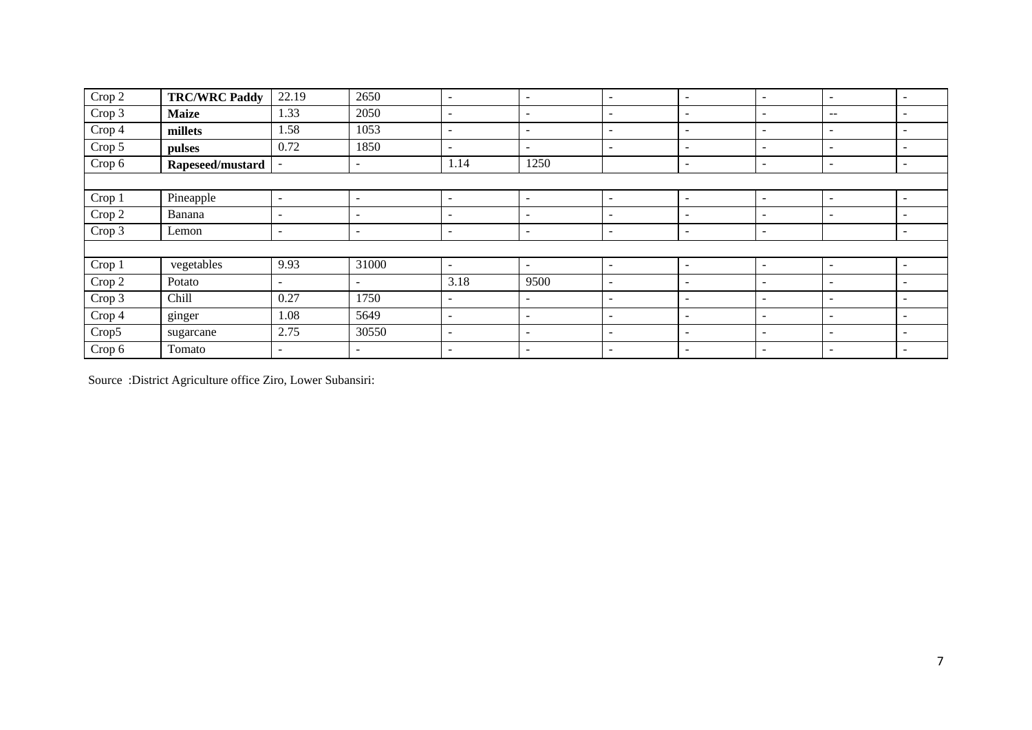| Crop 2 | <b>TRC/WRC Paddy</b> | 22.19                    | 2650                     | $\overline{\phantom{a}}$ | $\sim$                   | $\overline{\phantom{a}}$ | $\overline{\phantom{0}}$ | $\overline{\phantom{a}}$ | $\sim$                                | $\overline{\phantom{0}}$ |
|--------|----------------------|--------------------------|--------------------------|--------------------------|--------------------------|--------------------------|--------------------------|--------------------------|---------------------------------------|--------------------------|
| Crop 3 | <b>Maize</b>         | 1.33                     | 2050                     | $\overline{\phantom{a}}$ | $\overline{\phantom{a}}$ | $\overline{\phantom{a}}$ | $\overline{\phantom{0}}$ | $\overline{\phantom{a}}$ | $\hspace{0.05cm}$ – $\hspace{0.05cm}$ | $\overline{\phantom{0}}$ |
| Crop 4 | millets              | 1.58                     | 1053                     | -                        | $\sim$                   | $\overline{\phantom{0}}$ | $\overline{\phantom{0}}$ | $\overline{\phantom{a}}$ | $\overline{\phantom{a}}$              | $\overline{\phantom{0}}$ |
| Crop 5 | pulses               | 0.72                     | 1850                     |                          | $\sim$                   | -                        | $\overline{\phantom{0}}$ | $\overline{\phantom{0}}$ | $\overline{\phantom{a}}$              |                          |
| Crop 6 | Rapeseed/mustard     |                          | $\sim$                   | 1.14                     | 1250                     |                          | $\overline{\phantom{0}}$ | $\overline{\phantom{0}}$ | $\overline{\phantom{a}}$              | $\overline{\phantom{0}}$ |
|        |                      |                          |                          |                          |                          |                          |                          |                          |                                       |                          |
| Crop 1 | Pineapple            | $\overline{\phantom{a}}$ | $\sim$                   |                          | $\overline{\phantom{a}}$ | $\overline{\phantom{a}}$ | $\overline{\phantom{0}}$ | $\sim$                   | $\sim$                                |                          |
| Crop 2 | Banana               | $\overline{\phantom{a}}$ | $\sim$                   | $\sim$                   | $\sim$                   | $\overline{\phantom{a}}$ | $\overline{\phantom{0}}$ | $\overline{\phantom{a}}$ | $\overline{\phantom{a}}$              | $\overline{\phantom{0}}$ |
| Crop 3 | Lemon                | $\overline{\phantom{a}}$ | $\overline{\phantom{0}}$ | ۰.                       | $\overline{\phantom{a}}$ | $\overline{\phantom{a}}$ | $\overline{\phantom{0}}$ | $\overline{\phantom{a}}$ |                                       | $\overline{\phantom{0}}$ |
|        |                      |                          |                          |                          |                          |                          |                          |                          |                                       |                          |
| Crop 1 | vegetables           | 9.93                     | 31000                    | $\sim$                   | $\sim$                   | $\overline{\phantom{a}}$ | $\overline{\phantom{0}}$ | $\overline{\phantom{a}}$ | $\sim$                                | $\overline{\phantom{0}}$ |
| Crop 2 | Potato               | $\overline{\phantom{a}}$ | $\sim$                   | 3.18                     | 9500                     | $\overline{\phantom{a}}$ | $\overline{\phantom{0}}$ | $\overline{\phantom{a}}$ | $\overline{\phantom{a}}$              | $\overline{\phantom{0}}$ |
| Crop 3 | Chill                | 0.27                     | 1750                     | $\sim$                   | $\overline{\phantom{a}}$ | $\overline{\phantom{a}}$ | $\overline{\phantom{0}}$ | $\overline{\phantom{a}}$ | $\overline{\phantom{a}}$              |                          |
| Crop 4 | ginger               | 1.08                     | 5649                     | $\overline{\phantom{a}}$ | $\sim$                   | $\overline{\phantom{a}}$ | $\overline{\phantom{0}}$ | $\overline{a}$           | $\overline{\phantom{a}}$              |                          |
| Crop5  | sugarcane            | 2.75                     | 30550                    | $\overline{\phantom{a}}$ | $\overline{\phantom{a}}$ | $\overline{\phantom{a}}$ | $\overline{\phantom{0}}$ | $\overline{\phantom{a}}$ | $\sim$                                | $\overline{\phantom{0}}$ |
| Crop 6 | Tomato               | $\overline{\phantom{a}}$ | $\sim$                   | $\sim$                   | $\sim$                   | $\overline{\phantom{a}}$ | $\overline{\phantom{0}}$ | $\overline{\phantom{a}}$ | $\sim$                                | $\overline{\phantom{0}}$ |

Source :District Agriculture office Ziro, Lower Subansiri: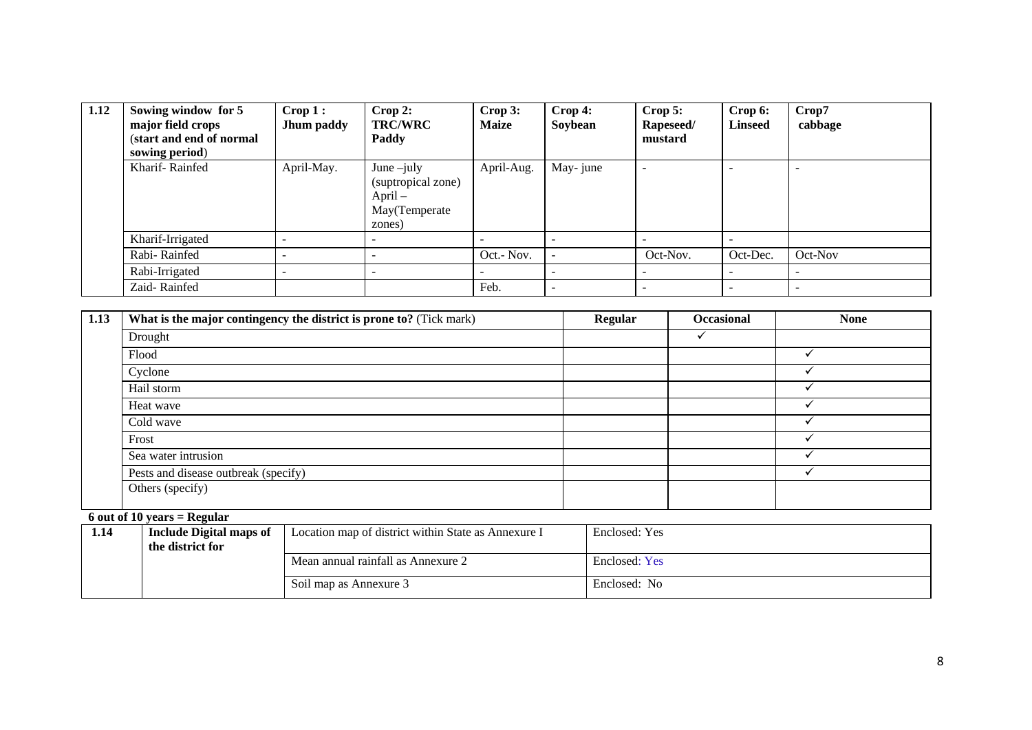| 1.12 | Sowing window for 5<br>major field crops<br>(start and end of normal<br>sowing period) | $\bf{Crop 1}:$<br>Jhum paddy | Crop 2:<br><b>TRC/WRC</b><br>Paddy                                          | Crop 3:<br><b>Maize</b> | $\bf{Crop 4:}$<br>Soybean | $\bf{Crop}$ 5:<br>Rapeseed/<br>mustard | Crop 6:<br><b>Linseed</b> | Crop7<br>cabbage |
|------|----------------------------------------------------------------------------------------|------------------------------|-----------------------------------------------------------------------------|-------------------------|---------------------------|----------------------------------------|---------------------------|------------------|
|      | Kharif-Rainfed                                                                         | April-May.                   | June $-$ july<br>(suptropical zone)<br>$April -$<br>May(Temperate<br>zones) | April-Aug.              | May-june                  |                                        |                           |                  |
|      | Kharif-Irrigated                                                                       |                              |                                                                             |                         |                           |                                        |                           |                  |
|      | Rabi-Rainfed                                                                           |                              |                                                                             | Oct.- Nov.              |                           | Oct-Nov.                               | Oct-Dec.                  | Oct-Nov          |
|      | Rabi-Irrigated                                                                         |                              | -                                                                           |                         | $\overline{\phantom{a}}$  |                                        |                           |                  |
|      | Zaid-Rainfed                                                                           |                              |                                                                             | Feb.                    | $\overline{\phantom{a}}$  |                                        |                           |                  |

| 1.13 | What is the major contingency the district is prone to? (Tick mark) | <b>Regular</b> | <b>Occasional</b> | <b>None</b> |
|------|---------------------------------------------------------------------|----------------|-------------------|-------------|
|      | Drought                                                             |                |                   |             |
|      | Flood                                                               |                |                   |             |
|      | Cyclone                                                             |                |                   |             |
|      | Hail storm                                                          |                |                   |             |
|      | Heat wave                                                           |                |                   |             |
|      | Cold wave                                                           |                |                   |             |
|      | Frost                                                               |                |                   |             |
|      | Sea water intrusion                                                 |                |                   |             |
|      | Pests and disease outbreak (specify)                                |                |                   |             |
|      | Others (specify)                                                    |                |                   |             |

# **6 out of 10 years = Regular**

| 1.14 | <b>Include Digital maps of</b> | Location map of district within State as Annexure I | Enclosed: Yes |
|------|--------------------------------|-----------------------------------------------------|---------------|
|      | the district for               |                                                     |               |
|      |                                | Mean annual rainfall as Annexure 2                  | Enclosed: Yes |
|      |                                | Soil map as Annexure 3                              | Enclosed: No  |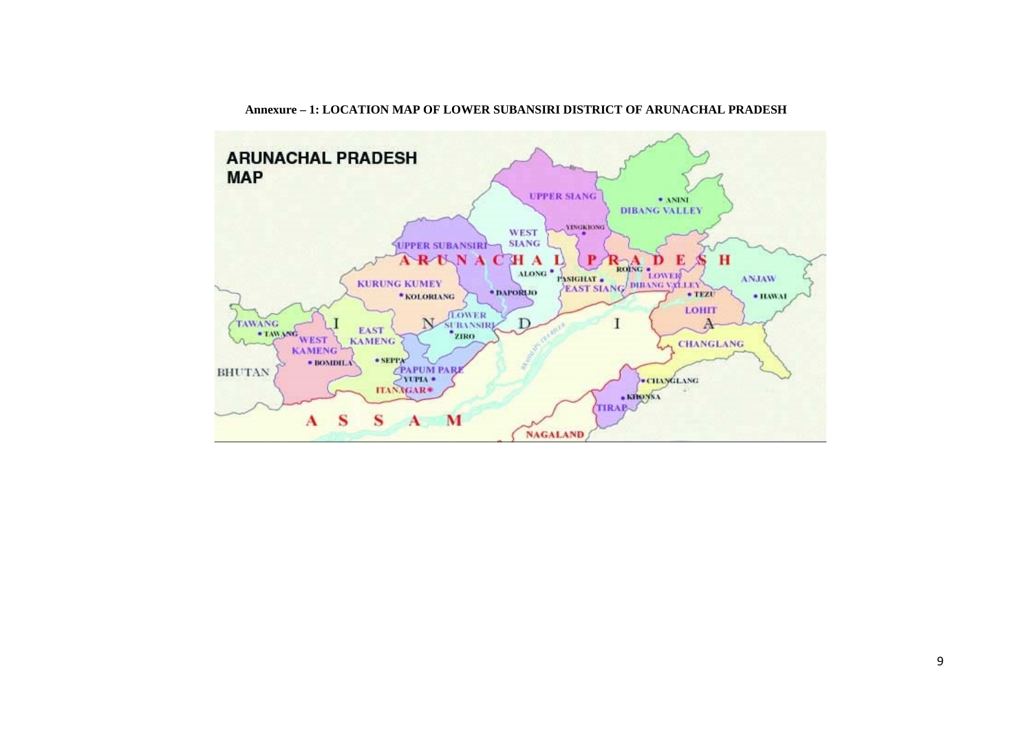

#### **Annexure – 1: LOCATION MAP OF LOWER SUBANSIRI DISTRICT OF ARUNACHAL PRADESH**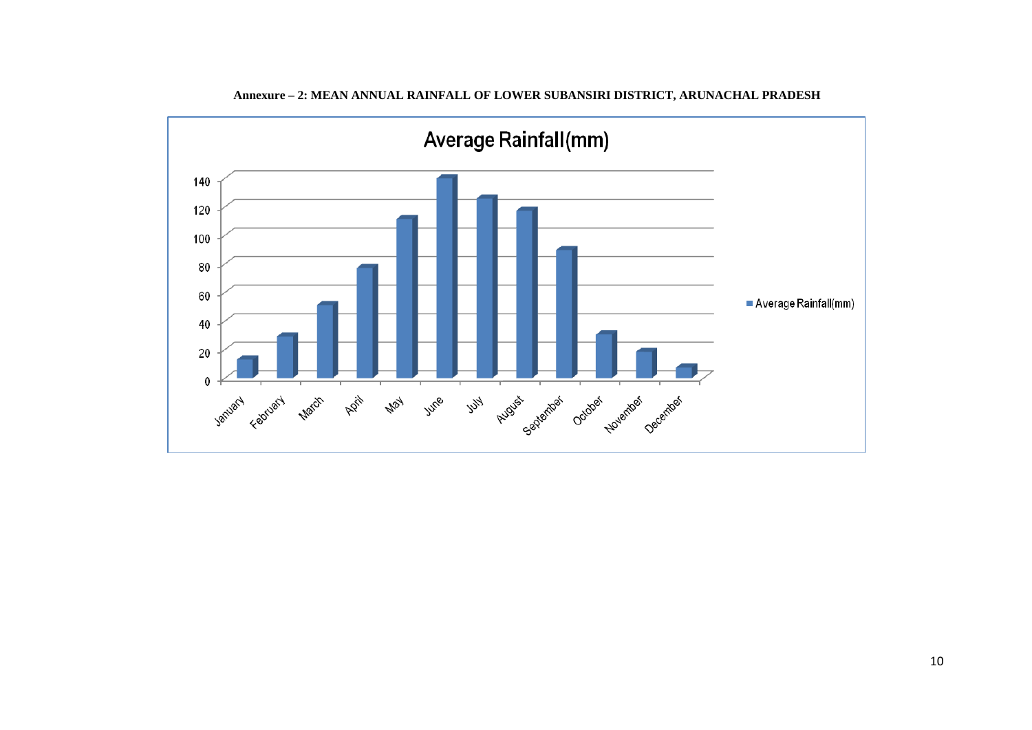

**Annexure – 2: MEAN ANNUAL RAINFALL OF LOWER SUBANSIRI DISTRICT, ARUNACHAL PRADESH**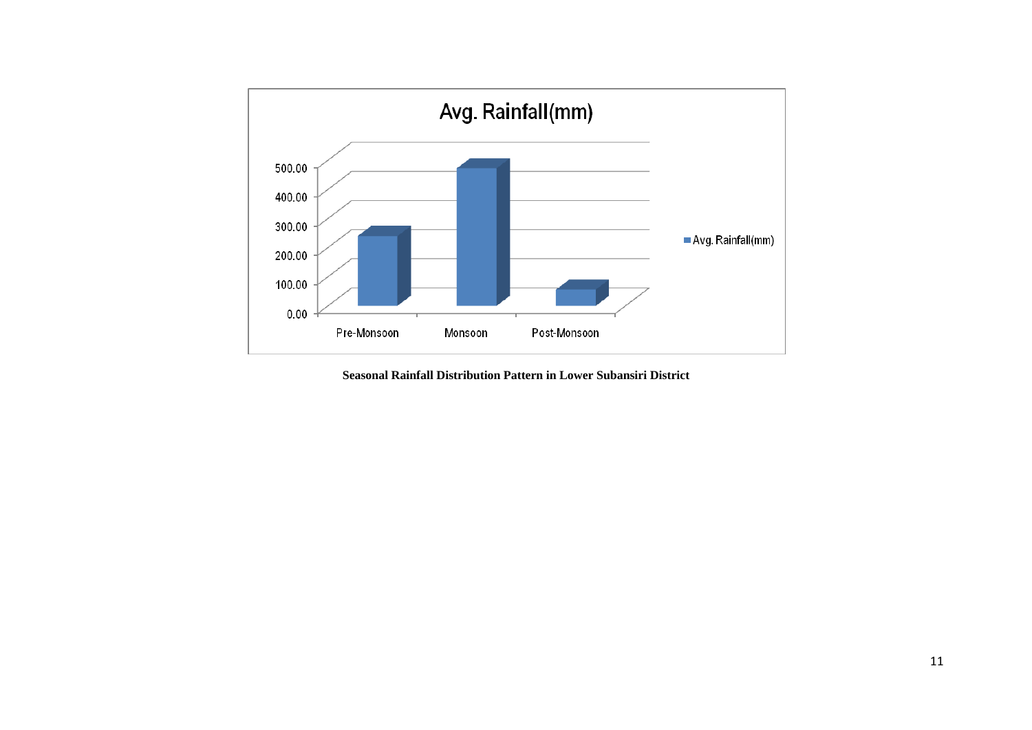

**Seasonal Rainfall Distribution Pattern in Lower Subansiri District**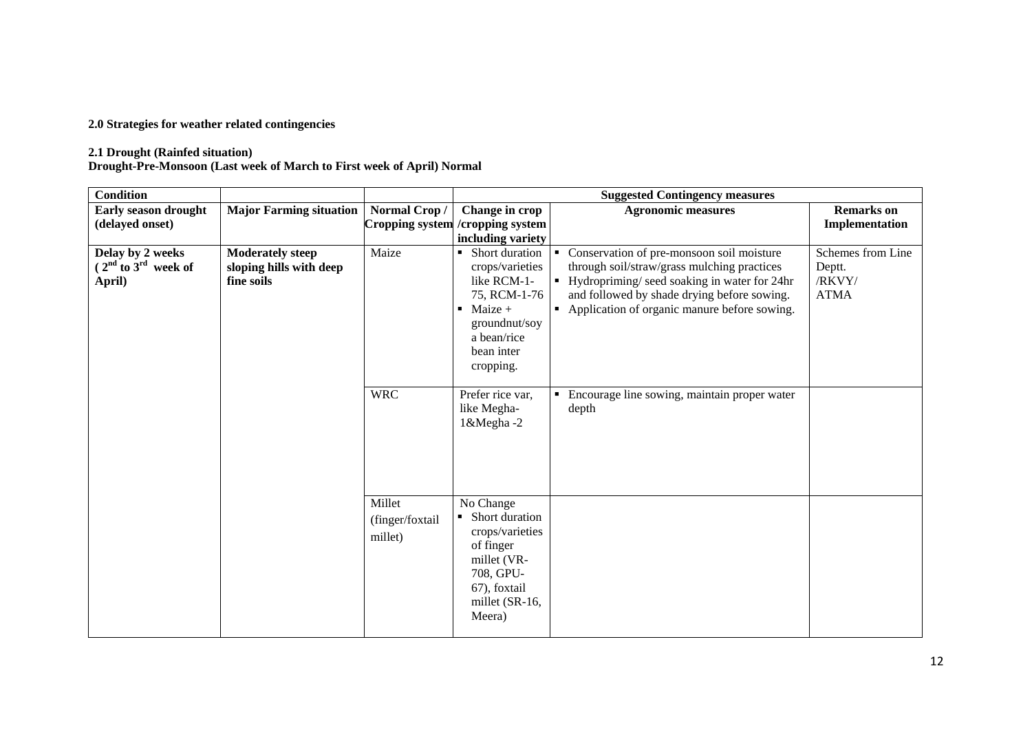#### **2.0 Strategies for weather related contingencies**

#### **2.1 Drought (Rainfed situation)**

**Drought-Pre-Monsoon (Last week of March to First week of April) Normal**

| <b>Condition</b>                                      |                                                                  |                                      |                                                                                                                                                       | <b>Suggested Contingency measures</b>                                                                                                                                                                                                       |                                                      |
|-------------------------------------------------------|------------------------------------------------------------------|--------------------------------------|-------------------------------------------------------------------------------------------------------------------------------------------------------|---------------------------------------------------------------------------------------------------------------------------------------------------------------------------------------------------------------------------------------------|------------------------------------------------------|
| Early season drought                                  | <b>Major Farming situation</b>                                   | Normal Crop/                         | Change in crop                                                                                                                                        | <b>Agronomic measures</b>                                                                                                                                                                                                                   | <b>Remarks</b> on                                    |
| (delayed onset)                                       |                                                                  |                                      | Cropping system / cropping system                                                                                                                     |                                                                                                                                                                                                                                             | Implementation                                       |
|                                                       |                                                                  |                                      | including variety                                                                                                                                     |                                                                                                                                                                                                                                             |                                                      |
| Delay by 2 weeks<br>$(2nd$ to $3rd$ week of<br>April) | <b>Moderately steep</b><br>sloping hills with deep<br>fine soils | Maize                                | Short duration<br>crops/varieties<br>like RCM-1-<br>75, RCM-1-76<br>$\blacksquare$ Maize +<br>groundnut/soy<br>a bean/rice<br>bean inter<br>cropping. | Conservation of pre-monsoon soil moisture<br>through soil/straw/grass mulching practices<br>• Hydropriming/ seed soaking in water for 24hr<br>and followed by shade drying before sowing.<br>• Application of organic manure before sowing. | Schemes from Line<br>Deptt.<br>/RKVY/<br><b>ATMA</b> |
|                                                       |                                                                  | <b>WRC</b>                           | Prefer rice var,<br>like Megha-<br>1&Megha-2                                                                                                          | Encourage line sowing, maintain proper water<br>depth                                                                                                                                                                                       |                                                      |
|                                                       |                                                                  | Millet<br>(finger/foxtail<br>millet) | No Change<br>Short duration<br>crops/varieties<br>of finger<br>millet (VR-<br>708, GPU-<br>67), foxtail<br>millet (SR-16,<br>Meera)                   |                                                                                                                                                                                                                                             |                                                      |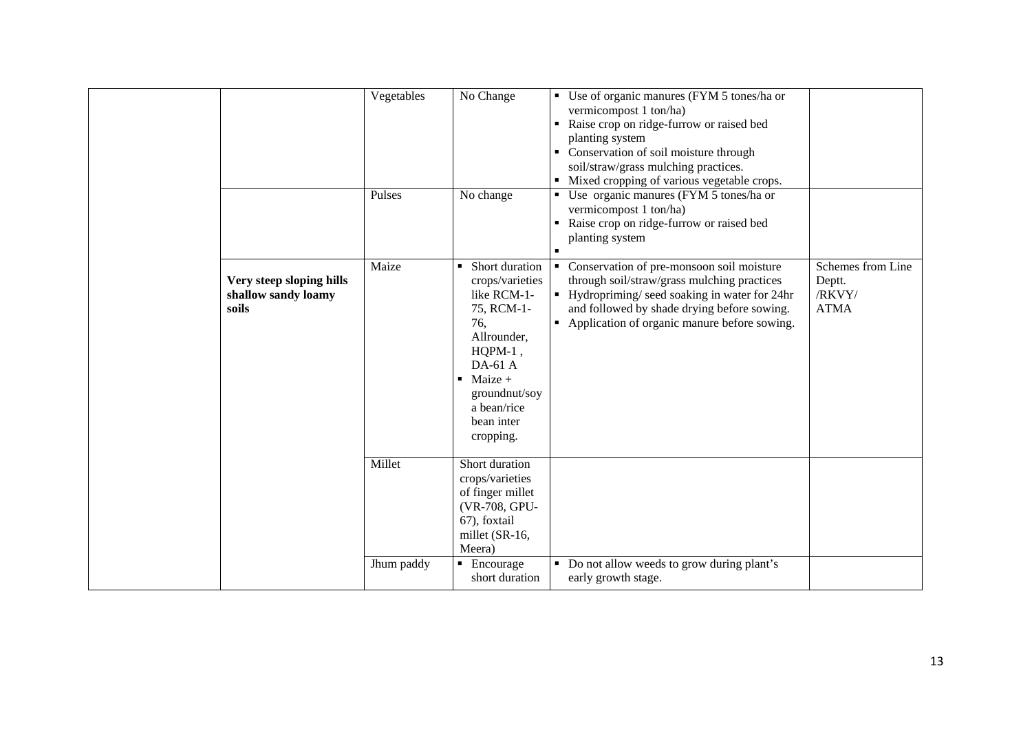|                                                          | Vegetables<br>Pulses | No Change<br>No change                                                                                                                                                                               | • Use of organic manures (FYM 5 tones/ha or<br>vermicompost 1 ton/ha)<br>Raise crop on ridge-furrow or raised bed<br>planting system<br>• Conservation of soil moisture through<br>soil/straw/grass mulching practices.<br>Mixed cropping of various vegetable crops.<br>• Use organic manures (FYM 5 tones/ha or |                                                      |
|----------------------------------------------------------|----------------------|------------------------------------------------------------------------------------------------------------------------------------------------------------------------------------------------------|-------------------------------------------------------------------------------------------------------------------------------------------------------------------------------------------------------------------------------------------------------------------------------------------------------------------|------------------------------------------------------|
|                                                          |                      |                                                                                                                                                                                                      | vermicompost 1 ton/ha)<br>Raise crop on ridge-furrow or raised bed<br>planting system                                                                                                                                                                                                                             |                                                      |
| Very steep sloping hills<br>shallow sandy loamy<br>soils | Maize                | • Short duration<br>crops/varieties<br>like RCM-1-<br>75, RCM-1-<br>76,<br>Allrounder,<br>$HQPM-1$ ,<br>DA-61 A<br>$\blacksquare$ Maize +<br>groundnut/soy<br>a bean/rice<br>bean inter<br>cropping. | • Conservation of pre-monsoon soil moisture<br>through soil/straw/grass mulching practices<br>• Hydropriming/seed soaking in water for 24hr<br>and followed by shade drying before sowing.<br>• Application of organic manure before sowing.                                                                      | Schemes from Line<br>Deptt.<br>/RKVY/<br><b>ATMA</b> |
|                                                          | Millet               | Short duration<br>crops/varieties<br>of finger millet<br>(VR-708, GPU-<br>67), foxtail<br>millet (SR-16,<br>Meera)                                                                                   |                                                                                                                                                                                                                                                                                                                   |                                                      |
|                                                          | Jhum paddy           | $\blacksquare$ Encourage<br>short duration                                                                                                                                                           | • Do not allow weeds to grow during plant's<br>early growth stage.                                                                                                                                                                                                                                                |                                                      |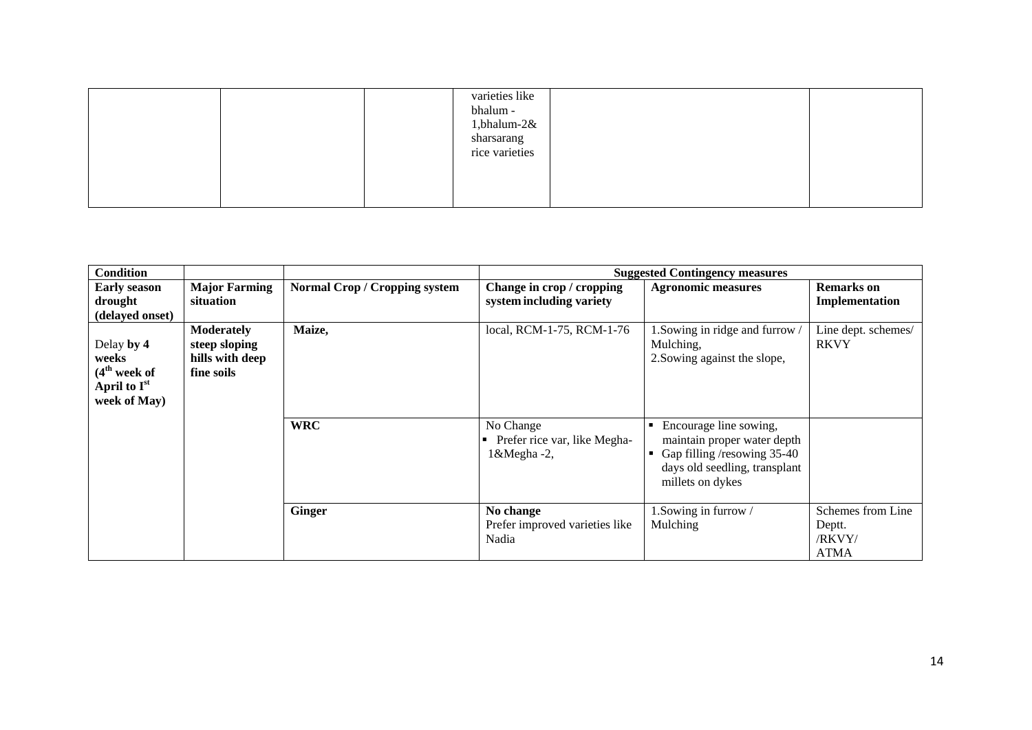|  | varieties like<br>bhalum -<br>1,bhalum- $2&$<br>sharsarang<br>rice varieties |  |
|--|------------------------------------------------------------------------------|--|
|  |                                                                              |  |

| <b>Condition</b>                                                                            |                                                                     |                                      |                                                         | <b>Suggested Contingency measures</b>                                                                                                     |                                                      |
|---------------------------------------------------------------------------------------------|---------------------------------------------------------------------|--------------------------------------|---------------------------------------------------------|-------------------------------------------------------------------------------------------------------------------------------------------|------------------------------------------------------|
| <b>Early season</b><br>drought<br>(delayed onset)                                           | <b>Major Farming</b><br>situation                                   | <b>Normal Crop / Cropping system</b> | Change in crop / cropping<br>system including variety   | <b>Agronomic measures</b>                                                                                                                 | <b>Remarks</b> on<br>Implementation                  |
| Delay by 4<br>weeks<br>(4 <sup>th</sup> week of<br>April to I <sup>st</sup><br>week of May) | <b>Moderately</b><br>steep sloping<br>hills with deep<br>fine soils | Maize,                               | local, RCM-1-75, RCM-1-76                               | 1. Sowing in ridge and furrow /<br>Mulching,<br>2. Sowing against the slope,                                                              | Line dept. schemes/<br><b>RKVY</b>                   |
|                                                                                             |                                                                     | <b>WRC</b>                           | No Change<br>Prefer rice var, like Megha-<br>1&Megha-2, | Encourage line sowing,<br>maintain proper water depth<br>Gap filling /resowing 35-40<br>days old seedling, transplant<br>millets on dykes |                                                      |
|                                                                                             |                                                                     | <b>Ginger</b>                        | No change<br>Prefer improved varieties like<br>Nadia    | 1. Sowing in furrow /<br>Mulching                                                                                                         | Schemes from Line<br>Deptt.<br>/RKVY/<br><b>ATMA</b> |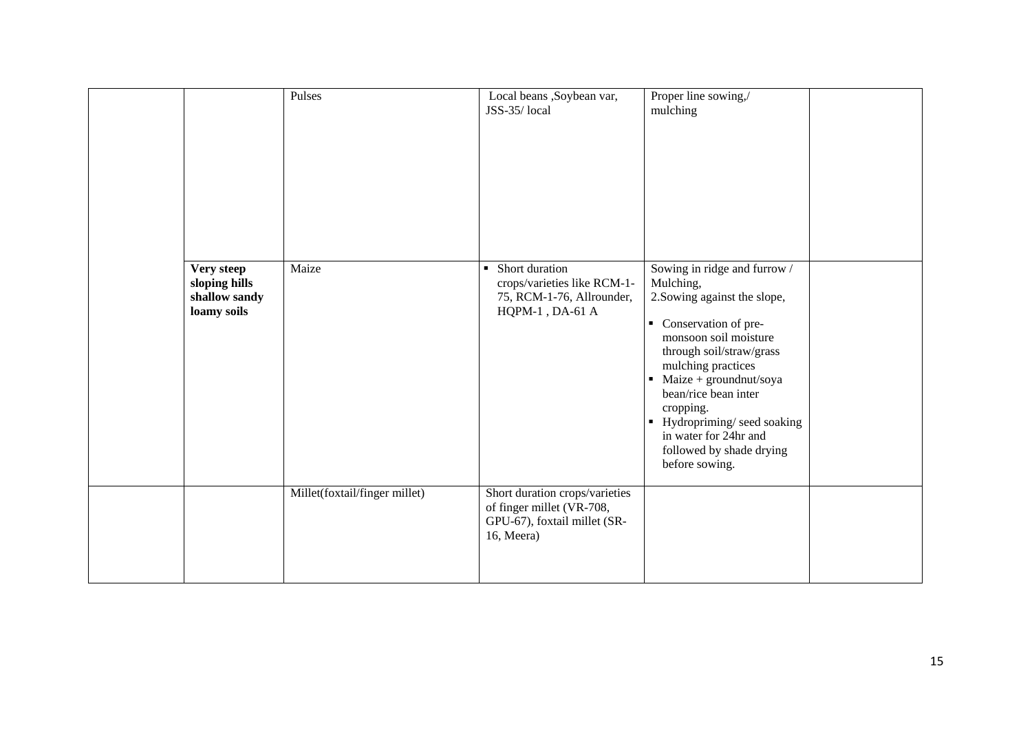|                                                             | Pulses                        | Local beans ,Soybean var,<br>JSS-35/local                                                                       | Proper line sowing,/<br>mulching                                                                                                                                                                                                                                                                                                                                   |  |
|-------------------------------------------------------------|-------------------------------|-----------------------------------------------------------------------------------------------------------------|--------------------------------------------------------------------------------------------------------------------------------------------------------------------------------------------------------------------------------------------------------------------------------------------------------------------------------------------------------------------|--|
| Very steep<br>sloping hills<br>shallow sandy<br>loamy soils | Maize                         | Short duration<br>$\blacksquare$<br>crops/varieties like RCM-1-<br>75, RCM-1-76, Allrounder,<br>HQPM-1, DA-61 A | Sowing in ridge and furrow /<br>Mulching,<br>2. Sowing against the slope,<br>• Conservation of pre-<br>monsoon soil moisture<br>through soil/straw/grass<br>mulching practices<br>$\blacksquare$ Maize + groundnut/soya<br>bean/rice bean inter<br>cropping.<br>• Hydropriming/seed soaking<br>in water for 24hr and<br>followed by shade drying<br>before sowing. |  |
|                                                             | Millet(foxtail/finger millet) | Short duration crops/varieties<br>of finger millet (VR-708,<br>GPU-67), foxtail millet (SR-<br>16, Meera)       |                                                                                                                                                                                                                                                                                                                                                                    |  |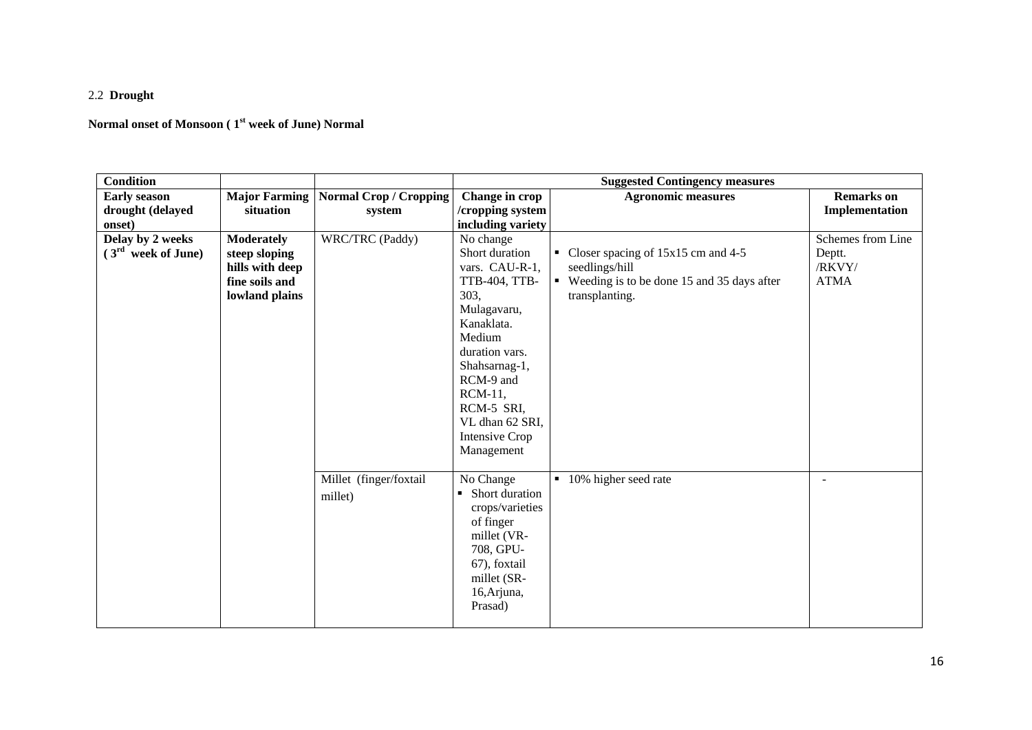## 2.2 **Drought**

# **Normal onset of Monsoon ( 1st week of June) Normal**

| <b>Condition</b>     |                      |                        |                          | <b>Suggested Contingency measures</b>        |                          |
|----------------------|----------------------|------------------------|--------------------------|----------------------------------------------|--------------------------|
| <b>Early season</b>  | <b>Major Farming</b> | Normal Crop / Cropping | Change in crop           | <b>Agronomic measures</b>                    | <b>Remarks</b> on        |
| drought (delayed     | situation            | system                 | /cropping system         |                                              | Implementation           |
| onset)               |                      |                        | including variety        |                                              |                          |
| Delay by 2 weeks     | <b>Moderately</b>    | WRC/TRC (Paddy)        | No change                |                                              | Schemes from Line        |
| $(3rd$ week of June) | steep sloping        |                        | Short duration           | • Closer spacing of 15x15 cm and 4-5         | Deptt.                   |
|                      | hills with deep      |                        | vars. CAU-R-1,           | seedlings/hill                               | /RKVY/                   |
|                      | fine soils and       |                        | TTB-404, TTB-            | • Weeding is to be done 15 and 35 days after | <b>ATMA</b>              |
|                      | lowland plains       |                        | 303,                     | transplanting.                               |                          |
|                      |                      |                        | Mulagavaru,              |                                              |                          |
|                      |                      |                        | Kanaklata.               |                                              |                          |
|                      |                      |                        | Medium<br>duration vars. |                                              |                          |
|                      |                      |                        | Shahsarnag-1,            |                                              |                          |
|                      |                      |                        | RCM-9 and                |                                              |                          |
|                      |                      |                        | RCM-11,                  |                                              |                          |
|                      |                      |                        | RCM-5 SRI,               |                                              |                          |
|                      |                      |                        | VL dhan 62 SRI,          |                                              |                          |
|                      |                      |                        | Intensive Crop           |                                              |                          |
|                      |                      |                        | Management               |                                              |                          |
|                      |                      |                        |                          |                                              |                          |
|                      |                      | Millet (finger/foxtail | No Change                | 10% higher seed rate<br>$\blacksquare$       | $\overline{\phantom{a}}$ |
|                      |                      | millet)                | • Short duration         |                                              |                          |
|                      |                      |                        | crops/varieties          |                                              |                          |
|                      |                      |                        | of finger                |                                              |                          |
|                      |                      |                        | millet (VR-              |                                              |                          |
|                      |                      |                        | 708, GPU-                |                                              |                          |
|                      |                      |                        | 67), foxtail             |                                              |                          |
|                      |                      |                        | millet (SR-              |                                              |                          |
|                      |                      |                        | 16, Arjuna,              |                                              |                          |
|                      |                      |                        | Prasad)                  |                                              |                          |
|                      |                      |                        |                          |                                              |                          |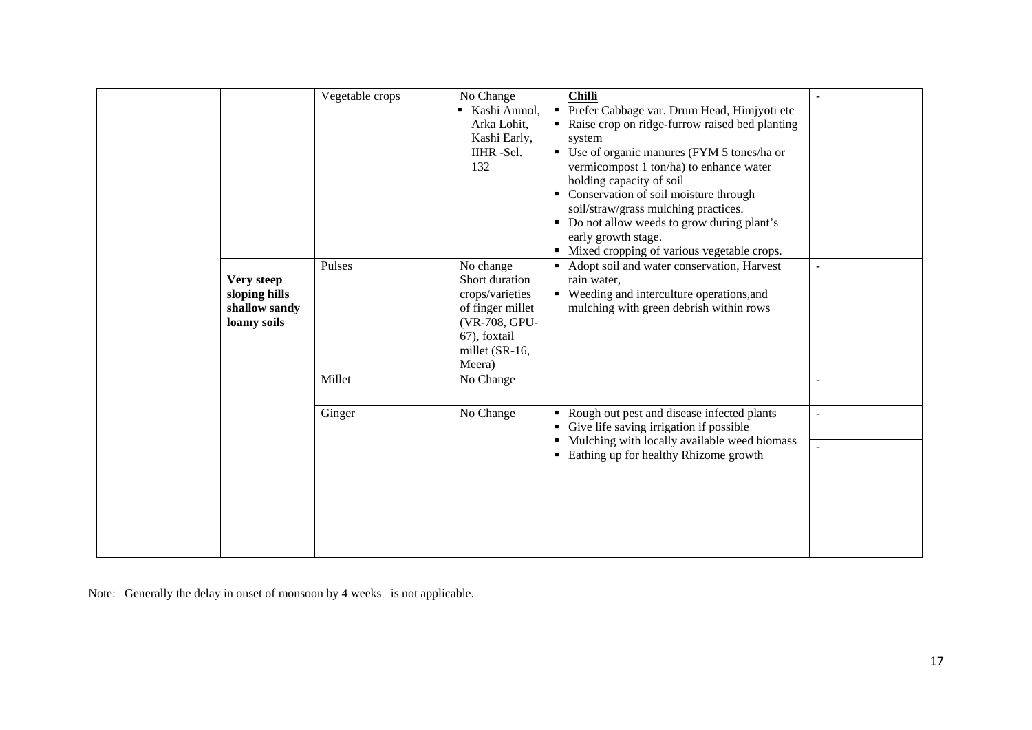|                                                             | Vegetable crops | No Change<br>Kashi Anmol,<br>Arka Lohit,<br>Kashi Early,<br>IIHR-Sel.<br>132                                                    | <b>Chilli</b><br>Prefer Cabbage var. Drum Head, Himjyoti etc<br>$\blacksquare$<br>Raise crop on ridge-furrow raised bed planting<br>system<br>• Use of organic manures (FYM 5 tones/ha or<br>vermicompost 1 ton/ha) to enhance water<br>holding capacity of soil<br>• Conservation of soil moisture through |                |
|-------------------------------------------------------------|-----------------|---------------------------------------------------------------------------------------------------------------------------------|-------------------------------------------------------------------------------------------------------------------------------------------------------------------------------------------------------------------------------------------------------------------------------------------------------------|----------------|
|                                                             |                 |                                                                                                                                 | soil/straw/grass mulching practices.<br>• Do not allow weeds to grow during plant's<br>early growth stage.<br>Mixed cropping of various vegetable crops.                                                                                                                                                    |                |
| Very steep<br>sloping hills<br>shallow sandy<br>loamy soils | Pulses          | No change<br>Short duration<br>crops/varieties<br>of finger millet<br>(VR-708, GPU-<br>67), foxtail<br>millet (SR-16,<br>Meera) | Adopt soil and water conservation, Harvest<br>$\blacksquare$<br>rain water,<br>• Weeding and interculture operations, and<br>mulching with green debrish within rows                                                                                                                                        | $\blacksquare$ |
|                                                             | Millet          | No Change                                                                                                                       |                                                                                                                                                                                                                                                                                                             |                |
|                                                             | Ginger          | No Change                                                                                                                       | Rough out pest and disease infected plants<br>$\blacksquare$<br>Give life saving irrigation if possible<br>Mulching with locally available weed biomass<br>٠<br>Eathing up for healthy Rhizome growth                                                                                                       | $\overline{a}$ |
|                                                             |                 |                                                                                                                                 |                                                                                                                                                                                                                                                                                                             |                |

Note: Generally the delay in onset of monsoon by 4 weeks is not applicable.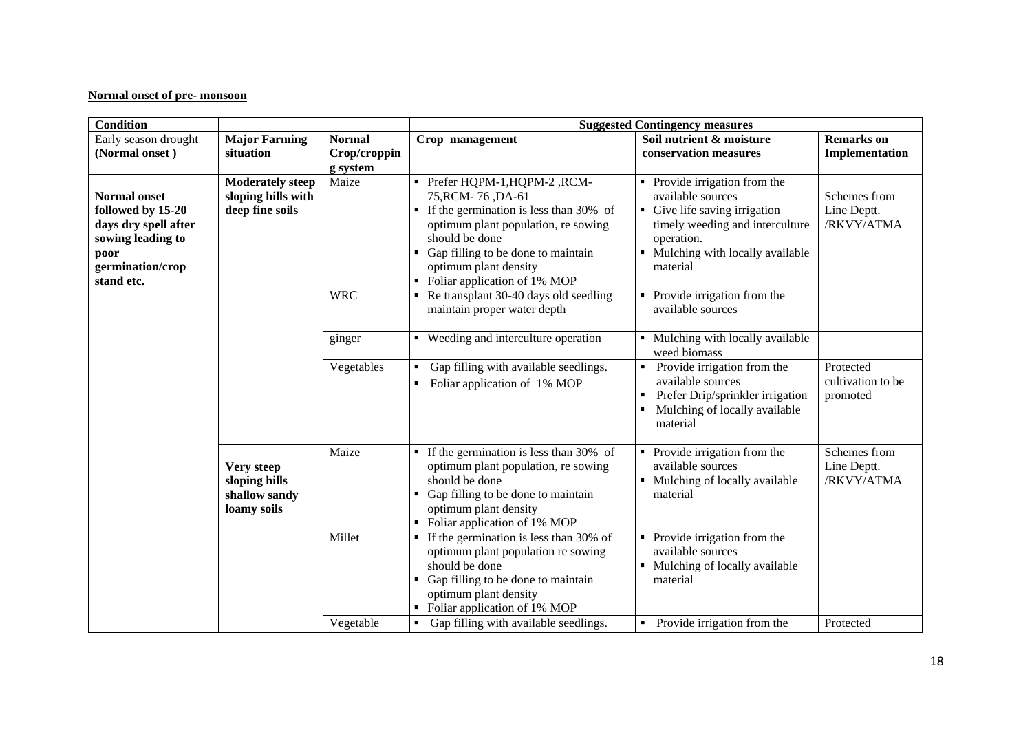## **Normal onset of pre- monsoon**

| Condition                                                                                                                       |                                                                  |                                           | <b>Suggested Contingency measures</b>                                                                                                                                                                                                                                |                                                                                                                                                                                                       |                                            |  |  |
|---------------------------------------------------------------------------------------------------------------------------------|------------------------------------------------------------------|-------------------------------------------|----------------------------------------------------------------------------------------------------------------------------------------------------------------------------------------------------------------------------------------------------------------------|-------------------------------------------------------------------------------------------------------------------------------------------------------------------------------------------------------|--------------------------------------------|--|--|
| Early season drought<br>(Normal onset)                                                                                          | <b>Major Farming</b><br>situation                                | <b>Normal</b><br>Crop/croppin<br>g system | Crop management                                                                                                                                                                                                                                                      | Soil nutrient & moisture<br>conservation measures                                                                                                                                                     | <b>Remarks</b> on<br>Implementation        |  |  |
| <b>Normal onset</b><br>followed by 15-20<br>days dry spell after<br>sowing leading to<br>poor<br>germination/crop<br>stand etc. | <b>Moderately steep</b><br>sloping hills with<br>deep fine soils | Maize                                     | Prefer HQPM-1, HQPM-2, RCM-<br>75, RCM-76, DA-61<br>If the germination is less than 30% of<br>$\blacksquare$<br>optimum plant population, re sowing<br>should be done<br>Gap filling to be done to maintain<br>optimum plant density<br>Foliar application of 1% MOP | • Provide irrigation from the<br>available sources<br>• Give life saving irrigation<br>timely weeding and interculture<br>operation.<br>Mulching with locally available<br>$\blacksquare$<br>material | Schemes from<br>Line Deptt.<br>/RKVY/ATMA  |  |  |
|                                                                                                                                 |                                                                  | <b>WRC</b>                                | $\blacksquare$ Re transplant 30-40 days old seedling<br>maintain proper water depth                                                                                                                                                                                  | Provide irrigation from the<br>available sources                                                                                                                                                      |                                            |  |  |
|                                                                                                                                 |                                                                  | ginger                                    | • Weeding and interculture operation                                                                                                                                                                                                                                 | • Mulching with locally available<br>weed biomass                                                                                                                                                     |                                            |  |  |
|                                                                                                                                 |                                                                  | Vegetables                                | Gap filling with available seedlings.<br>٠<br>Foliar application of 1% MOP                                                                                                                                                                                           | Provide irrigation from the<br>$\blacksquare$<br>available sources<br>Prefer Drip/sprinkler irrigation<br>Mulching of locally available<br>material                                                   | Protected<br>cultivation to be<br>promoted |  |  |
|                                                                                                                                 | Very steep<br>sloping hills<br>shallow sandy<br>loamy soils      | Maize                                     | $\blacksquare$ If the germination is less than 30% of<br>optimum plant population, re sowing<br>should be done<br>Gap filling to be done to maintain<br>optimum plant density<br>Foliar application of 1% MOP                                                        | Provide irrigation from the<br>٠<br>available sources<br>Mulching of locally available<br>material                                                                                                    | Schemes from<br>Line Deptt.<br>/RKVY/ATMA  |  |  |
|                                                                                                                                 |                                                                  | Millet                                    | $\blacksquare$ If the germination is less than 30% of<br>optimum plant population re sowing<br>should be done<br>Gap filling to be done to maintain<br>$\blacksquare$<br>optimum plant density<br>• Foliar application of 1% MOP<br>$\blacksquare$                   | • Provide irrigation from the<br>available sources<br>• Mulching of locally available<br>material<br>$\blacksquare$                                                                                   |                                            |  |  |
|                                                                                                                                 |                                                                  | Vegetable                                 | Gap filling with available seedlings.                                                                                                                                                                                                                                | Provide irrigation from the                                                                                                                                                                           | Protected                                  |  |  |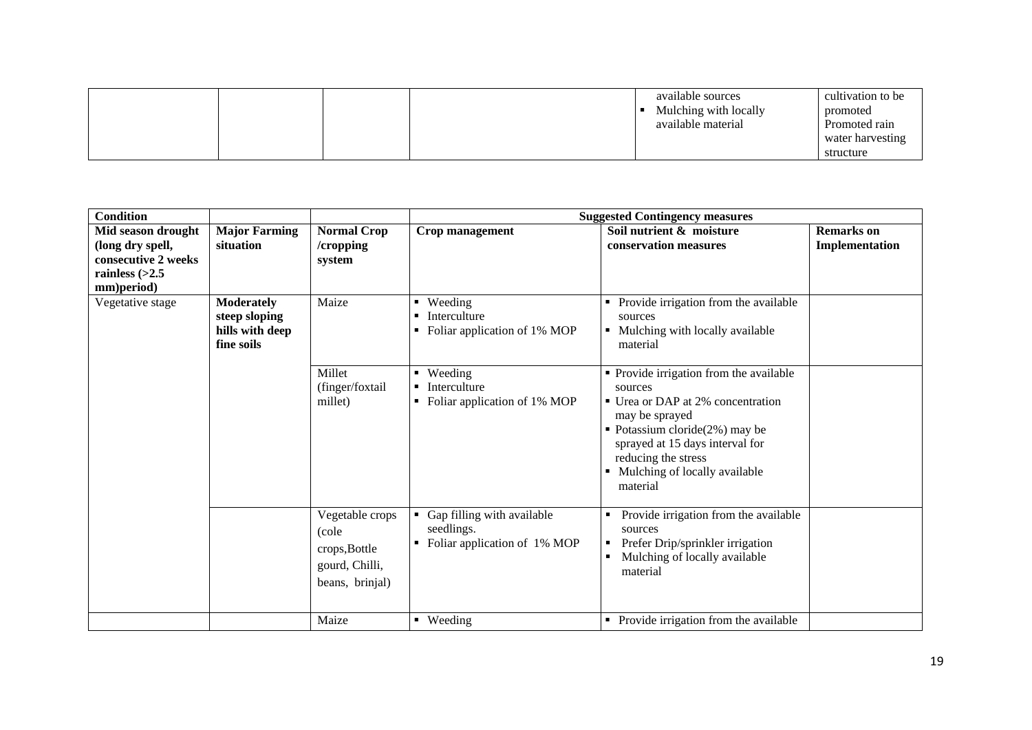|  |  | available sources<br>Mulching with locally<br>available material | cultivation to be<br>promoted<br>Promoted rain<br>water harvesting |
|--|--|------------------------------------------------------------------|--------------------------------------------------------------------|
|  |  |                                                                  | structure                                                          |

| <b>Condition</b>                                                                                |                                                                     |                                                                                |                                                                                | <b>Suggested Contingency measures</b>                                                                                                                                                                                                                    |                                     |
|-------------------------------------------------------------------------------------------------|---------------------------------------------------------------------|--------------------------------------------------------------------------------|--------------------------------------------------------------------------------|----------------------------------------------------------------------------------------------------------------------------------------------------------------------------------------------------------------------------------------------------------|-------------------------------------|
| Mid season drought<br>(long dry spell,<br>consecutive 2 weeks<br>rainless $(>2.5$<br>mm)period) | <b>Major Farming</b><br>situation                                   | <b>Normal Crop</b><br>/cropping<br>system                                      | Crop management                                                                | Soil nutrient & moisture<br>conservation measures                                                                                                                                                                                                        | <b>Remarks</b> on<br>Implementation |
| Vegetative stage                                                                                | <b>Moderately</b><br>steep sloping<br>hills with deep<br>fine soils | Maize                                                                          | Weeding<br>Interculture<br>Foliar application of 1% MOP                        | Provide irrigation from the available<br>sources<br>Mulching with locally available<br>material                                                                                                                                                          |                                     |
|                                                                                                 |                                                                     | Millet<br>(finger/foxtail<br>millet)                                           | • Weeding<br>Interculture<br>Foliar application of 1% MOP                      | • Provide irrigation from the available<br>sources<br>■ Urea or DAP at 2% concentration<br>may be sprayed<br>• Potassium cloride $(2\%)$ may be<br>sprayed at 15 days interval for<br>reducing the stress<br>• Mulching of locally available<br>material |                                     |
|                                                                                                 |                                                                     | Vegetable crops<br>(cole<br>crops, Bottle<br>gourd, Chilli,<br>beans, brinjal) | Gap filling with available<br>п.<br>seedlings.<br>Foliar application of 1% MOP | Provide irrigation from the available<br>sources<br>Prefer Drip/sprinkler irrigation<br>п<br>Mulching of locally available<br>material                                                                                                                   |                                     |
|                                                                                                 |                                                                     | Maize                                                                          | • Weeding                                                                      | • Provide irrigation from the available                                                                                                                                                                                                                  |                                     |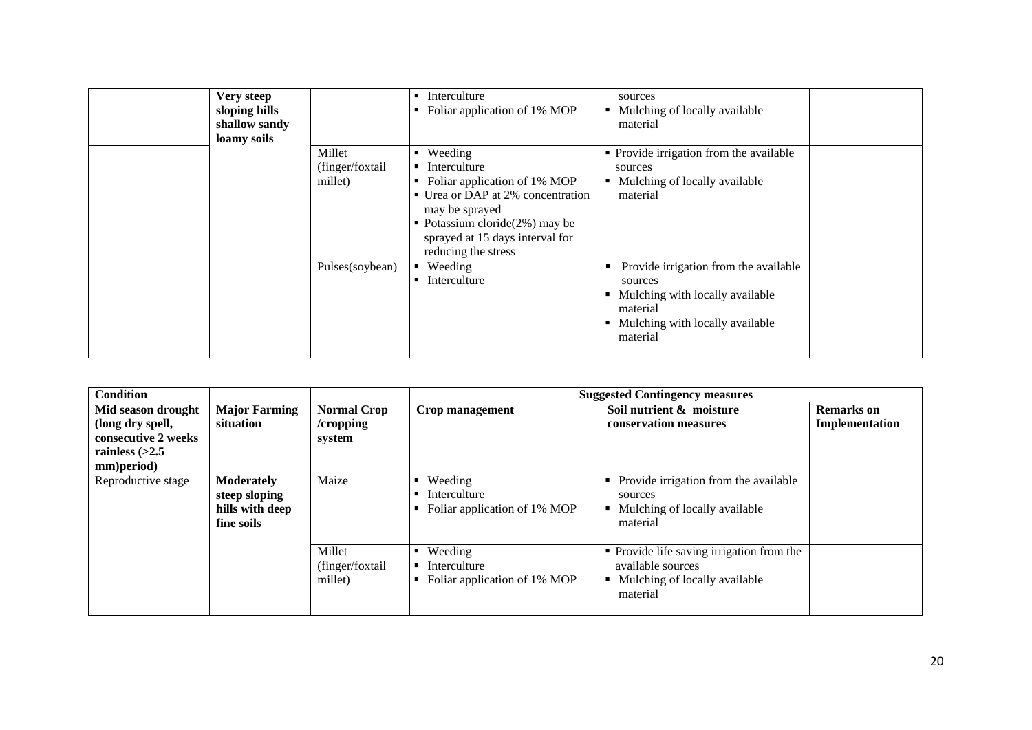| Very steep<br>sloping hills<br>shallow sandy<br>loamy soils |                                      | Interculture<br>Foliar application of 1% MOP                                                                                                                                                                   | sources<br>Mulching of locally available<br>material                                                                                                |
|-------------------------------------------------------------|--------------------------------------|----------------------------------------------------------------------------------------------------------------------------------------------------------------------------------------------------------------|-----------------------------------------------------------------------------------------------------------------------------------------------------|
|                                                             | Millet<br>(finger/foxtail<br>millet) | Weeding<br>Interculture<br>Foliar application of 1% MOP<br>• Urea or DAP at 2% concentration<br>may be sprayed<br>• Potassium cloride $(2\%)$ may be<br>sprayed at 15 days interval for<br>reducing the stress | • Provide irrigation from the available<br>sources<br>Mulching of locally available<br>material                                                     |
|                                                             | Pulses(soybean)                      | $\blacksquare$ Weeding<br>Interculture                                                                                                                                                                         | Provide irrigation from the available<br>п<br>sources<br>Mulching with locally available<br>material<br>Mulching with locally available<br>material |

| <b>Condition</b>                                                                                |                                                                     |                                           |                                                              | <b>Suggested Contingency measures</b>                                                                            |                                     |
|-------------------------------------------------------------------------------------------------|---------------------------------------------------------------------|-------------------------------------------|--------------------------------------------------------------|------------------------------------------------------------------------------------------------------------------|-------------------------------------|
| Mid season drought<br>(long dry spell,<br>consecutive 2 weeks<br>rainless $(>2.5$<br>mm)period) | <b>Major Farming</b><br>situation                                   | <b>Normal Crop</b><br>/cropping<br>system | Crop management                                              | Soil nutrient & moisture<br>conservation measures                                                                | <b>Remarks</b> on<br>Implementation |
| Reproductive stage                                                                              | <b>Moderately</b><br>steep sloping<br>hills with deep<br>fine soils | Maize                                     | Weeding<br>Interculture<br>Foliar application of 1% MOP      | Provide irrigation from the available<br>٠<br>sources<br>Mulching of locally available<br>٠<br>material          |                                     |
|                                                                                                 |                                                                     | Millet<br>(finger/foxtail)<br>millet)     | Weeding<br>٠<br>Interculture<br>Foliar application of 1% MOP | • Provide life saving irrigation from the<br>available sources<br>Mulching of locally available<br>٠<br>material |                                     |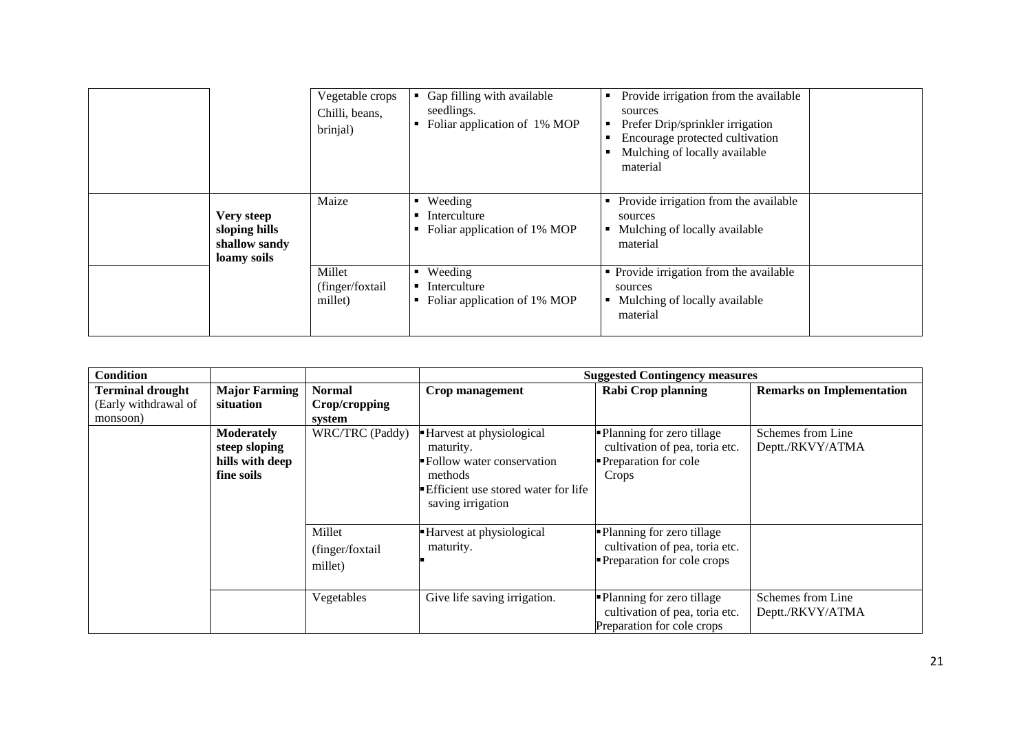|                                                             | Vegetable crops<br>Chilli, beans,<br>brinjal) | Gap filling with available<br>seedlings.<br>Foliar application of 1% MOP | Provide irrigation from the available<br>п<br>sources<br>Prefer Drip/sprinkler irrigation<br>Encourage protected cultivation<br>Mulching of locally available<br>material |  |
|-------------------------------------------------------------|-----------------------------------------------|--------------------------------------------------------------------------|---------------------------------------------------------------------------------------------------------------------------------------------------------------------------|--|
| Very steep<br>sloping hills<br>shallow sandy<br>loamy soils | Maize                                         | Weeding<br>٠<br>Interculture<br>Foliar application of 1% MOP             | Provide irrigation from the available<br>sources<br>Mulching of locally available<br>material                                                                             |  |
|                                                             | Millet<br>(finger/foxtail<br>millet)          | • Weeding<br>Interculture<br>Foliar application of 1% MOP<br>٠           | • Provide irrigation from the available<br>sources<br>Mulching of locally available<br>material                                                                           |  |

| <b>Condition</b>        |                      |                  |                                     | <b>Suggested Contingency measures</b> |                                  |
|-------------------------|----------------------|------------------|-------------------------------------|---------------------------------------|----------------------------------|
| <b>Terminal drought</b> | <b>Major Farming</b> | <b>Normal</b>    | Crop management                     | <b>Rabi Crop planning</b>             | <b>Remarks on Implementation</b> |
| (Early withdrawal of    | situation            | Crop/cropping    |                                     |                                       |                                  |
| monsoon)                |                      | system           |                                     |                                       |                                  |
|                         | <b>Moderately</b>    | WRC/TRC (Paddy)  | - Harvest at physiological          | • Planning for zero tillage           | Schemes from Line                |
|                         | steep sloping        |                  | maturity.                           | cultivation of pea, toria etc.        | Deptt./RKVY/ATMA                 |
|                         | hills with deep      |                  | Follow water conservation           | Preparation for cole                  |                                  |
|                         | fine soils           |                  | methods                             | Crops                                 |                                  |
|                         |                      |                  | Efficient use stored water for life |                                       |                                  |
|                         |                      |                  | saving irrigation                   |                                       |                                  |
|                         |                      |                  |                                     |                                       |                                  |
|                         |                      | Millet           | Harvest at physiological            | • Planning for zero tillage           |                                  |
|                         |                      | (finger/foxtail) | maturity.                           | cultivation of pea, toria etc.        |                                  |
|                         |                      | millet)          |                                     | Preparation for cole crops            |                                  |
|                         |                      |                  |                                     |                                       |                                  |
|                         |                      | Vegetables       | Give life saving irrigation.        | • Planning for zero tillage           | Schemes from Line                |
|                         |                      |                  |                                     | cultivation of pea, toria etc.        | Deptt./RKVY/ATMA                 |
|                         |                      |                  |                                     | Preparation for cole crops            |                                  |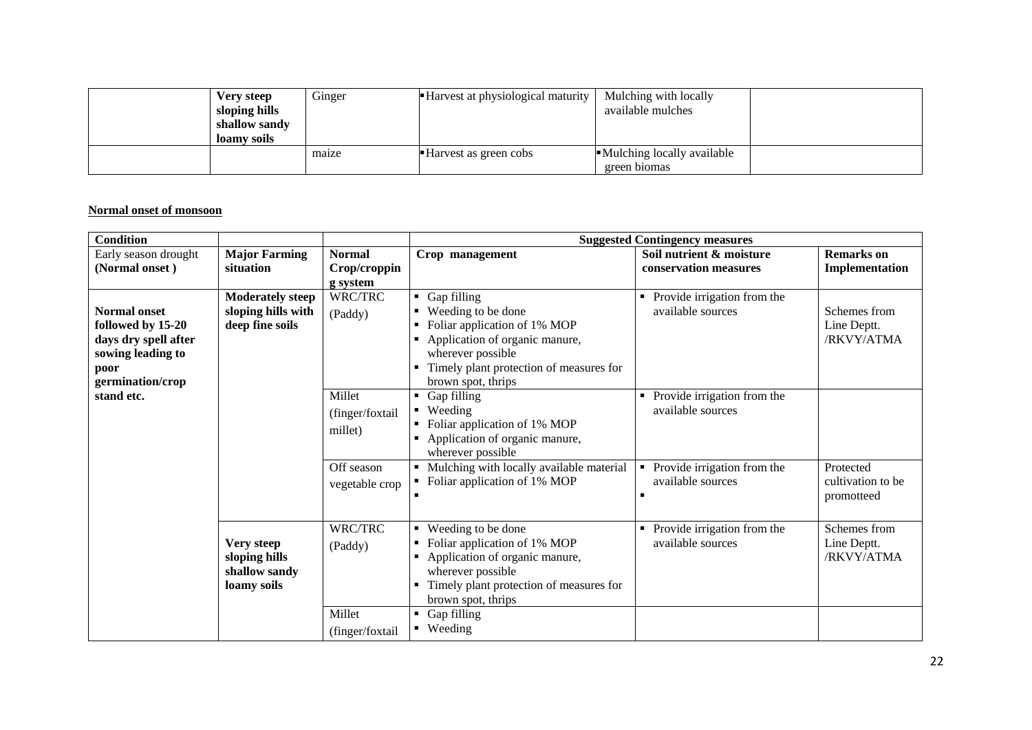| Very steep<br>sloping hills<br>shallow sandy<br>loamy soils | Ginger | • Harvest at physiological maturity | Mulching with locally<br>available mulches   |  |
|-------------------------------------------------------------|--------|-------------------------------------|----------------------------------------------|--|
|                                                             | maize  | Harvest as green cobs               | • Mulching locally available<br>green biomas |  |

#### **Normal onset of monsoon**

| <b>Condition</b>                                                                              |                                                                  |                                      | <b>Suggested Contingency measures</b>                                                                                                                                                             |                                                  |                                              |  |
|-----------------------------------------------------------------------------------------------|------------------------------------------------------------------|--------------------------------------|---------------------------------------------------------------------------------------------------------------------------------------------------------------------------------------------------|--------------------------------------------------|----------------------------------------------|--|
| Early season drought                                                                          | <b>Major Farming</b>                                             | <b>Normal</b>                        | Crop management                                                                                                                                                                                   | Soil nutrient & moisture                         | <b>Remarks</b> on                            |  |
| (Normal onset)                                                                                | situation                                                        | Crop/croppin                         |                                                                                                                                                                                                   | conservation measures                            | Implementation                               |  |
|                                                                                               |                                                                  | g system                             |                                                                                                                                                                                                   |                                                  |                                              |  |
| <b>Normal onset</b><br>followed by 15-20<br>days dry spell after<br>sowing leading to<br>poor | <b>Moderately steep</b><br>sloping hills with<br>deep fine soils | WRC/TRC<br>(Paddy)                   | Gap filling<br>٠<br>Weeding to be done<br>Foliar application of 1% MOP<br>Application of organic manure,<br>٠<br>wherever possible<br>Timely plant protection of measures for                     | Provide irrigation from the<br>available sources | Schemes from<br>Line Deptt.<br>/RKVY/ATMA    |  |
| germination/crop<br>stand etc.                                                                |                                                                  | Millet<br>(finger/foxtail<br>millet) | brown spot, thrips<br>Gap filling<br>$\blacksquare$<br>Weeding<br>٠<br>Foliar application of 1% MOP<br>Application of organic manure,<br>wherever possible                                        | Provide irrigation from the<br>available sources |                                              |  |
|                                                                                               |                                                                  | Off season<br>vegetable crop         | Mulching with locally available material<br>Foliar application of 1% MOP                                                                                                                          | Provide irrigation from the<br>available sources | Protected<br>cultivation to be<br>promotteed |  |
|                                                                                               | Very steep<br>sloping hills<br>shallow sandy<br>loamy soils      | WRC/TRC<br>(Paddy)                   | Weeding to be done<br>٠<br>Foliar application of 1% MOP<br>Application of organic manure,<br>$\blacksquare$<br>wherever possible<br>Timely plant protection of measures for<br>brown spot, thrips | Provide irrigation from the<br>available sources | Schemes from<br>Line Deptt.<br>/RKVY/ATMA    |  |
|                                                                                               |                                                                  | Millet<br>(finger/foxtail            | Gap filling<br>٠<br>• Weeding                                                                                                                                                                     |                                                  |                                              |  |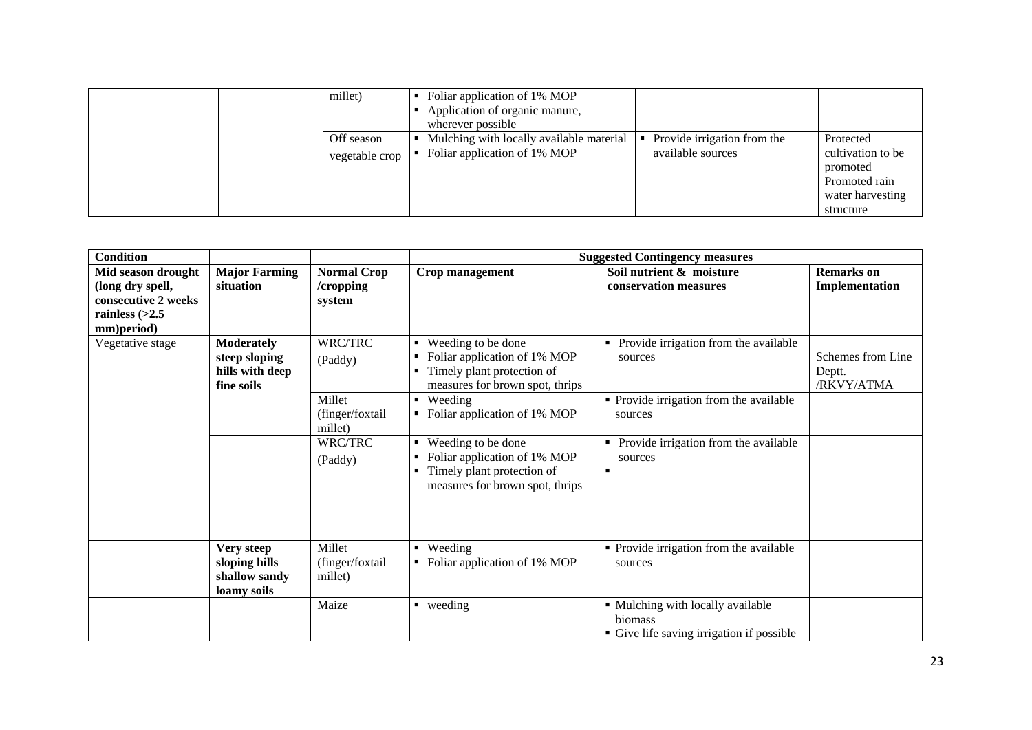|  | millet)                      | wherever possible | Foliar application of 1% MOP<br>Application of organic manure,           |                                                  |                                                                                              |
|--|------------------------------|-------------------|--------------------------------------------------------------------------|--------------------------------------------------|----------------------------------------------------------------------------------------------|
|  | Off season<br>vegetable crop | <b>I</b>          | Mulching with locally available material<br>Foliar application of 1% MOP | Provide irrigation from the<br>available sources | Protected<br>cultivation to be<br>promoted<br>Promoted rain<br>water harvesting<br>structure |

| <b>Condition</b>                                                                                |                                                                     |                                           |                                                                                                                            | <b>Suggested Contingency measures</b>                                                     |                                           |
|-------------------------------------------------------------------------------------------------|---------------------------------------------------------------------|-------------------------------------------|----------------------------------------------------------------------------------------------------------------------------|-------------------------------------------------------------------------------------------|-------------------------------------------|
| Mid season drought<br>(long dry spell,<br>consecutive 2 weeks<br>rainless $(>2.5$<br>mm)period) | <b>Major Farming</b><br>situation                                   | <b>Normal Crop</b><br>/cropping<br>system | Crop management                                                                                                            | Soil nutrient & moisture<br>conservation measures                                         | <b>Remarks</b> on<br>Implementation       |
| Vegetative stage                                                                                | <b>Moderately</b><br>steep sloping<br>hills with deep<br>fine soils | WRC/TRC<br>(Paddy)                        | ■ Weeding to be done<br>Foliar application of 1% MOP<br>Timely plant protection of<br>٠<br>measures for brown spot, thrips | Provide irrigation from the available<br>sources                                          | Schemes from Line<br>Deptt.<br>/RKVY/ATMA |
|                                                                                                 |                                                                     | Millet<br>(finger/foxtail<br>millet)      | • Weeding<br>Foliar application of 1% MOP                                                                                  | • Provide irrigation from the available<br>sources                                        |                                           |
|                                                                                                 |                                                                     | WRC/TRC<br>(Paddy)                        | ■ Weeding to be done<br>Foliar application of 1% MOP<br>Timely plant protection of<br>٠<br>measures for brown spot, thrips | Provide irrigation from the available<br>٠<br>sources                                     |                                           |
|                                                                                                 | Very steep<br>sloping hills<br>shallow sandy<br>loamy soils         | Millet<br>(finger/foxtail<br>millet)      | $\blacksquare$ Weeding<br>Foliar application of 1% MOP<br>٠                                                                | • Provide irrigation from the available<br>sources                                        |                                           |
|                                                                                                 |                                                                     | Maize                                     | $\blacksquare$ weeding                                                                                                     | • Mulching with locally available<br>biomass<br>• Give life saving irrigation if possible |                                           |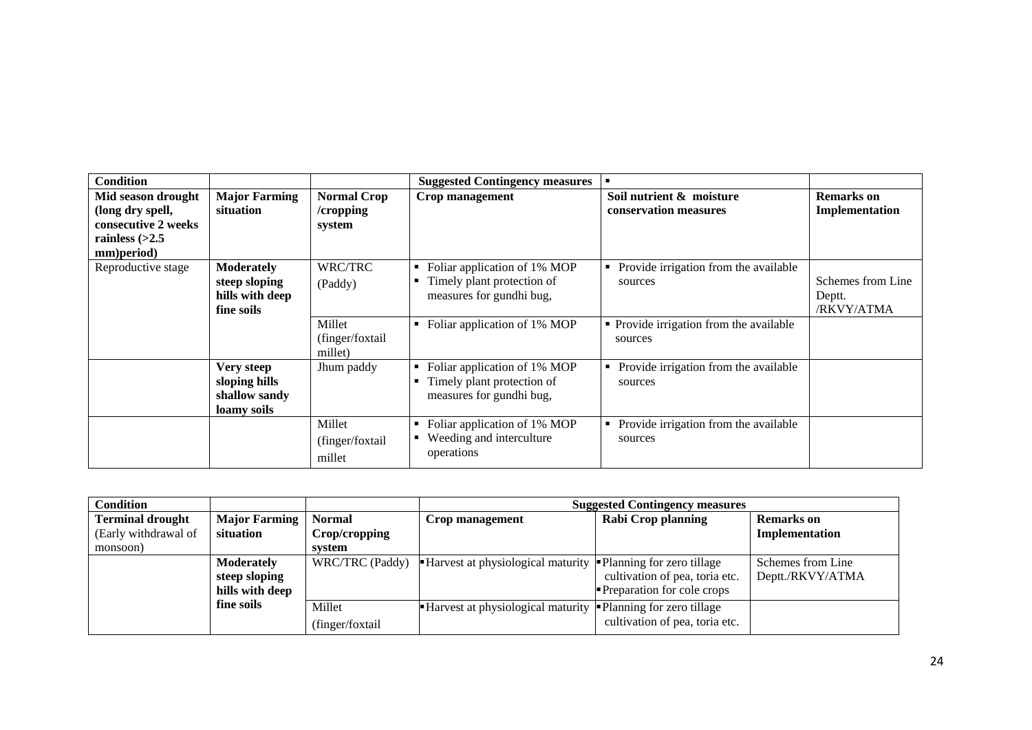| <b>Condition</b>                                                                                |                                                                     |                                           | <b>Suggested Contingency measures</b>                                                                                       | $\blacksquare$                                                                                |                                           |
|-------------------------------------------------------------------------------------------------|---------------------------------------------------------------------|-------------------------------------------|-----------------------------------------------------------------------------------------------------------------------------|-----------------------------------------------------------------------------------------------|-------------------------------------------|
| Mid season drought<br>(long dry spell,<br>consecutive 2 weeks<br>rainless $(>2.5$<br>mm)period) | <b>Major Farming</b><br>situation                                   | <b>Normal Crop</b><br>/cropping<br>system | Crop management                                                                                                             | Soil nutrient & moisture<br>conservation measures                                             | <b>Remarks</b> on<br>Implementation       |
| Reproductive stage                                                                              | <b>Moderately</b><br>steep sloping<br>hills with deep<br>fine soils | WRC/TRC<br>(Paddy)<br>Millet              | Foliar application of 1% MOP<br>٠<br>Timely plant protection of<br>measures for gundhi bug,<br>Foliar application of 1% MOP | • Provide irrigation from the available<br>sources<br>• Provide irrigation from the available | Schemes from Line<br>Deptt.<br>/RKVY/ATMA |
|                                                                                                 |                                                                     | (finger/foxtail<br>millet)                |                                                                                                                             | sources                                                                                       |                                           |
|                                                                                                 | Very steep<br>sloping hills<br>shallow sandy<br>loamy soils         | Jhum paddy                                | Foliar application of 1% MOP<br>Timely plant protection of<br>measures for gundhi bug,                                      | Provide irrigation from the available<br>٠<br>sources                                         |                                           |
|                                                                                                 |                                                                     | Millet<br>(finger/foxtail<br>millet       | Foliar application of 1% MOP<br>Weeding and interculture<br>operations                                                      | Provide irrigation from the available<br>٠<br>sources                                         |                                           |

| <b>Condition</b>        |                 |                 | <b>Suggested Contingency measures</b>    |                                   |                   |  |
|-------------------------|-----------------|-----------------|------------------------------------------|-----------------------------------|-------------------|--|
| <b>Terminal drought</b> | Major Farming   | <b>Normal</b>   | Crop management                          | <b>Rabi Crop planning</b>         | <b>Remarks</b> on |  |
| (Early withdrawal of    | situation       | Crop/cropping   |                                          |                                   | Implementation    |  |
| monsoon)                |                 | system          |                                          |                                   |                   |  |
|                         | Moderately      | WRC/TRC (Paddy) | <b>Harvest at physiological maturity</b> | • Planning for zero tillage       | Schemes from Line |  |
|                         | steep sloping   |                 |                                          | cultivation of pea, toria etc.    | Deptt./RKVY/ATMA  |  |
|                         | hills with deep |                 |                                          | <b>Preparation for cole crops</b> |                   |  |
|                         | fine soils      | Millet          | <b>Harvest at physiological maturity</b> | • Planning for zero tillage       |                   |  |
|                         |                 | (finger/foxtail |                                          | cultivation of pea, toria etc.    |                   |  |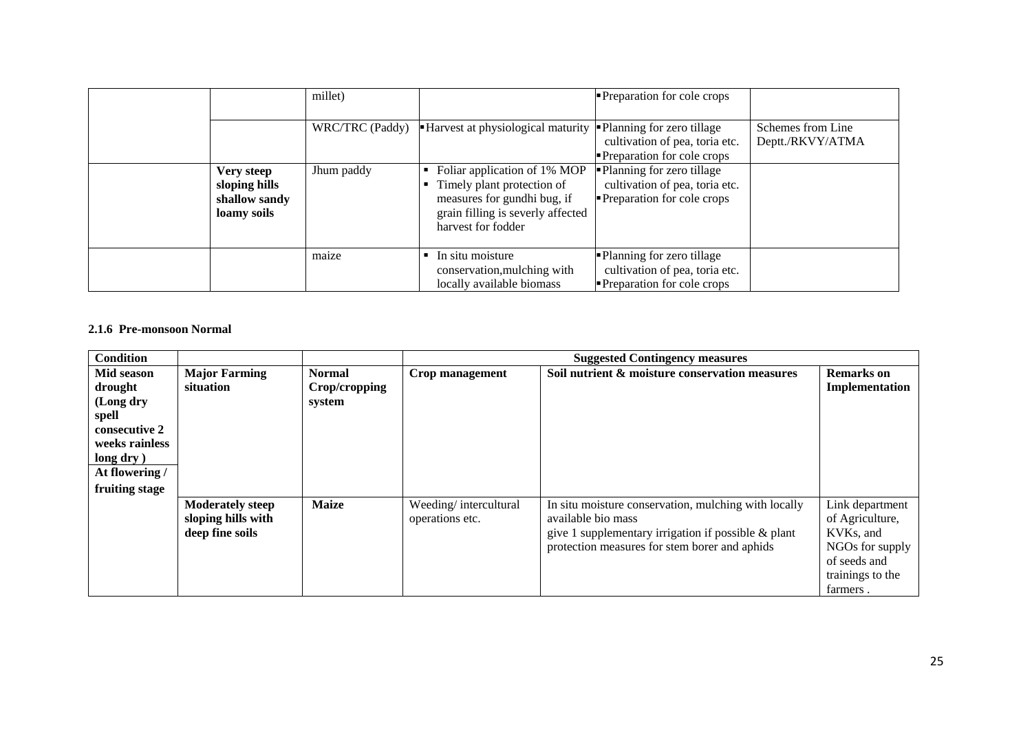|                                                             | millet)         |                                                                                                                                                      | <b>Preparation for cole crops</b>                                                                  |                                       |
|-------------------------------------------------------------|-----------------|------------------------------------------------------------------------------------------------------------------------------------------------------|----------------------------------------------------------------------------------------------------|---------------------------------------|
|                                                             | WRC/TRC (Paddy) | Harvest at physiological maturity                                                                                                                    | • Planning for zero tillage<br>cultivation of pea, toria etc.<br><b>Preparation for cole crops</b> | Schemes from Line<br>Deptt./RKVY/ATMA |
| Very steep<br>sloping hills<br>shallow sandy<br>loamy soils | Jhum paddy      | Foliar application of 1% MOP<br>Timely plant protection of<br>measures for gundhi bug, if<br>grain filling is severly affected<br>harvest for fodder | • Planning for zero tillage<br>cultivation of pea, toria etc.<br>Preparation for cole crops        |                                       |
|                                                             | maize           | $\blacksquare$ In situ moisture<br>conservation, mulching with<br>locally available biomass                                                          | • Planning for zero tillage<br>cultivation of pea, toria etc.<br><b>Preparation for cole crops</b> |                                       |

## **2.1.6 Pre-monsoon Normal**

| <b>Condition</b>                                                                                                                 |                                                                  |                                          | <b>Suggested Contingency measures</b>    |                                                                                                                                                                                       |                                                                                                                    |  |
|----------------------------------------------------------------------------------------------------------------------------------|------------------------------------------------------------------|------------------------------------------|------------------------------------------|---------------------------------------------------------------------------------------------------------------------------------------------------------------------------------------|--------------------------------------------------------------------------------------------------------------------|--|
| Mid season<br>drought<br>(Long dry<br>spell<br>consecutive 2<br>weeks rainless<br>long dry )<br>At flowering /<br>fruiting stage | <b>Major Farming</b><br>situation                                | <b>Normal</b><br>Crop/cropping<br>system | Crop management                          | Soil nutrient & moisture conservation measures                                                                                                                                        | <b>Remarks</b> on<br>Implementation                                                                                |  |
|                                                                                                                                  | <b>Moderately steep</b><br>sloping hills with<br>deep fine soils | <b>Maize</b>                             | Weeding/intercultural<br>operations etc. | In situ moisture conservation, mulching with locally<br>available bio mass<br>give 1 supplementary irrigation if possible $\&$ plant<br>protection measures for stem borer and aphids | Link department<br>of Agriculture,<br>KVKs, and<br>NGOs for supply<br>of seeds and<br>trainings to the<br>farmers. |  |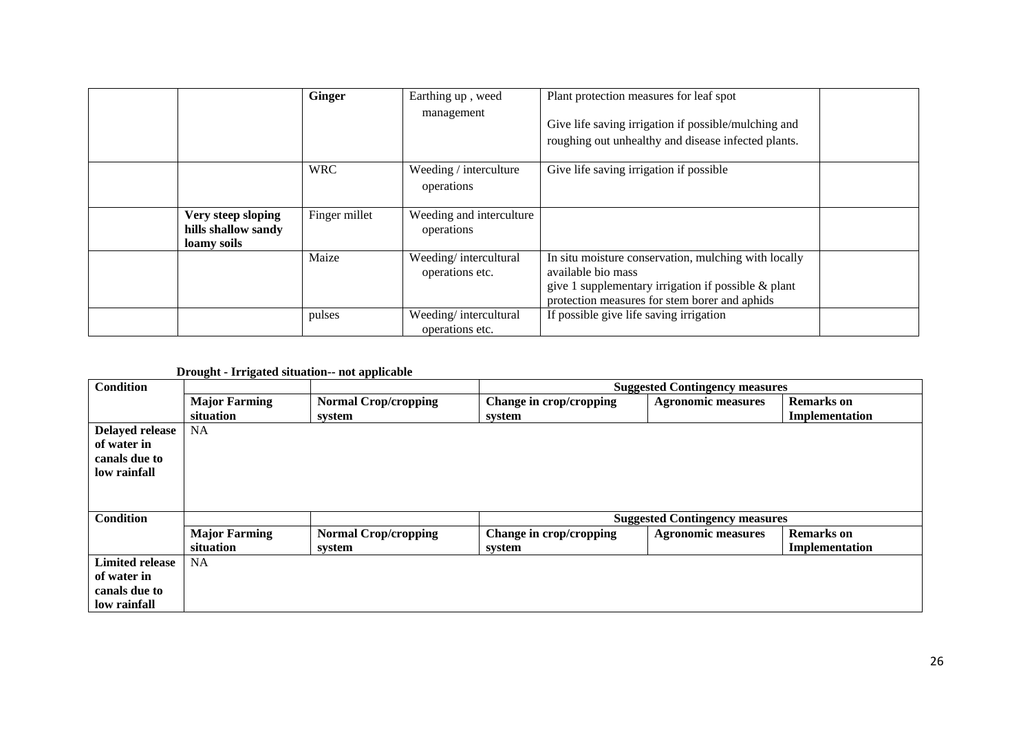|                                                          | <b>Ginger</b> | Earthing up, weed<br>management          | Plant protection measures for leaf spot<br>Give life saving irrigation if possible/mulching and<br>roughing out unhealthy and disease infected plants.                                |  |
|----------------------------------------------------------|---------------|------------------------------------------|---------------------------------------------------------------------------------------------------------------------------------------------------------------------------------------|--|
|                                                          | <b>WRC</b>    | Weeding / interculture<br>operations     | Give life saving irrigation if possible                                                                                                                                               |  |
| Very steep sloping<br>hills shallow sandy<br>loamy soils | Finger millet | Weeding and interculture<br>operations   |                                                                                                                                                                                       |  |
|                                                          | Maize         | Weeding/intercultural<br>operations etc. | In situ moisture conservation, mulching with locally<br>available bio mass<br>give 1 supplementary irrigation if possible $\&$ plant<br>protection measures for stem borer and aphids |  |
|                                                          | pulses        | Weeding/intercultural<br>operations etc. | If possible give life saving irrigation                                                                                                                                               |  |

#### **Drought - Irrigated situation-- not applicable**

| <b>Condition</b>       |                      |                             | <b>Suggested Contingency measures</b> |                                       |                   |  |
|------------------------|----------------------|-----------------------------|---------------------------------------|---------------------------------------|-------------------|--|
|                        | <b>Major Farming</b> | <b>Normal Crop/cropping</b> | Change in crop/cropping               | <b>Agronomic measures</b>             | <b>Remarks</b> on |  |
|                        | situation            | system                      | system                                |                                       | Implementation    |  |
| <b>Delayed release</b> | <b>NA</b>            |                             |                                       |                                       |                   |  |
| of water in            |                      |                             |                                       |                                       |                   |  |
| canals due to          |                      |                             |                                       |                                       |                   |  |
| low rainfall           |                      |                             |                                       |                                       |                   |  |
|                        |                      |                             |                                       |                                       |                   |  |
|                        |                      |                             |                                       |                                       |                   |  |
| <b>Condition</b>       |                      |                             |                                       | <b>Suggested Contingency measures</b> |                   |  |
|                        | <b>Major Farming</b> | <b>Normal Crop/cropping</b> | Change in crop/cropping               | <b>Agronomic measures</b>             | <b>Remarks</b> on |  |
|                        | situation            | system                      | system                                |                                       | Implementation    |  |
| <b>Limited release</b> | <b>NA</b>            |                             |                                       |                                       |                   |  |
| of water in            |                      |                             |                                       |                                       |                   |  |
| canals due to          |                      |                             |                                       |                                       |                   |  |
| low rainfall           |                      |                             |                                       |                                       |                   |  |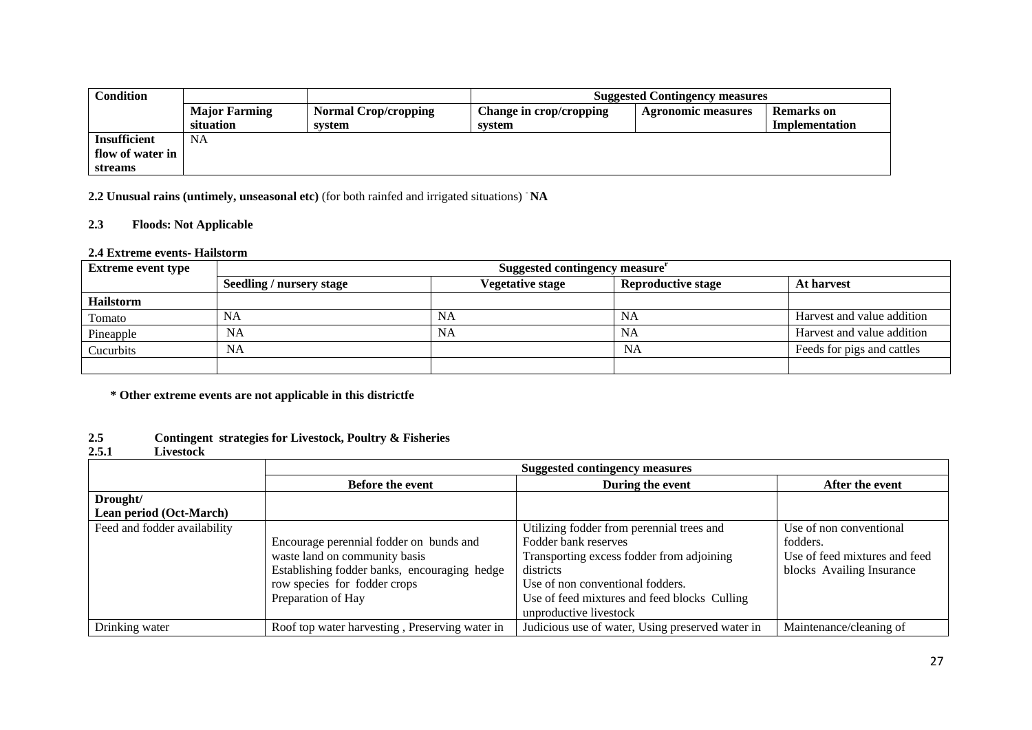| Condition           |                      |                             |                         | <b>Suggested Contingency measures</b> |                   |
|---------------------|----------------------|-----------------------------|-------------------------|---------------------------------------|-------------------|
|                     | <b>Major Farming</b> | <b>Normal Crop/cropping</b> | Change in crop/cropping | <b>Agronomic measures</b>             | <b>Remarks</b> on |
|                     | situation            | system                      | system                  |                                       | Implementation    |
| <b>Insufficient</b> | NA                   |                             |                         |                                       |                   |
| flow of water in    |                      |                             |                         |                                       |                   |
| <b>streams</b>      |                      |                             |                         |                                       |                   |

**2.2 Unusual rains (untimely, unseasonal etc)** (for both rainfed and irrigated situations) - **NA**

## **2.3 Floods: Not Applicable**

#### **2.4 Extreme events- Hailstorm**

| <b>Extreme event type</b> | Suggested contingency measure <sup>r</sup> |                         |                           |                            |  |
|---------------------------|--------------------------------------------|-------------------------|---------------------------|----------------------------|--|
|                           | <b>Seedling / nursery stage</b>            | <b>Vegetative stage</b> | <b>Reproductive stage</b> | <b>At harvest</b>          |  |
| <b>Hailstorm</b>          |                                            |                         |                           |                            |  |
| Tomato                    | NA                                         | NA                      | NA                        | Harvest and value addition |  |
| Pineapple                 | <b>NA</b>                                  | NA                      | NA                        | Harvest and value addition |  |
| Cucurbits                 | NA                                         |                         | NA                        | Feeds for pigs and cattles |  |
|                           |                                            |                         |                           |                            |  |

**\* Other extreme events are not applicable in this districtfe**

#### **2.5 Contingent strategies for Livestock, Poultry & Fisheries**

#### **2.5.1 Livestock**

|                              | <b>Suggested contingency measures</b>          |                                                  |                               |  |  |
|------------------------------|------------------------------------------------|--------------------------------------------------|-------------------------------|--|--|
|                              | <b>Before the event</b>                        | During the event                                 | After the event               |  |  |
| Drought/                     |                                                |                                                  |                               |  |  |
| Lean period (Oct-March)      |                                                |                                                  |                               |  |  |
| Feed and fodder availability |                                                | Utilizing fodder from perennial trees and        | Use of non conventional       |  |  |
|                              | Encourage perennial fodder on bunds and        | Fodder bank reserves                             | fodders.                      |  |  |
|                              | waste land on community basis                  | Transporting excess fodder from adjoining        | Use of feed mixtures and feed |  |  |
|                              | Establishing fodder banks, encouraging hedge   | districts                                        | blocks Availing Insurance     |  |  |
|                              | row species for fodder crops                   | Use of non conventional fodders.                 |                               |  |  |
|                              | Preparation of Hay                             | Use of feed mixtures and feed blocks Culling     |                               |  |  |
|                              |                                                | unproductive livestock                           |                               |  |  |
| Drinking water               | Roof top water harvesting, Preserving water in | Judicious use of water, Using preserved water in | Maintenance/cleaning of       |  |  |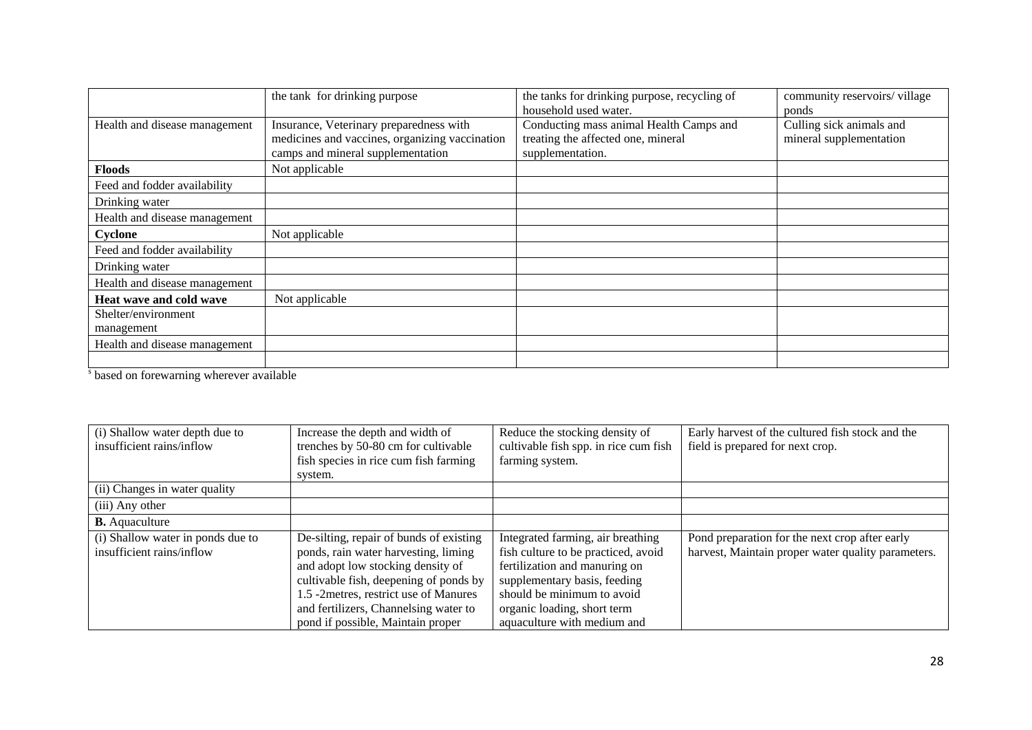|                                   | the tank for drinking purpose                                                                                                  | the tanks for drinking purpose, recycling of<br>household used water.                             | community reservoirs/village<br>ponds               |
|-----------------------------------|--------------------------------------------------------------------------------------------------------------------------------|---------------------------------------------------------------------------------------------------|-----------------------------------------------------|
| Health and disease management     | Insurance, Veterinary preparedness with<br>medicines and vaccines, organizing vaccination<br>camps and mineral supplementation | Conducting mass animal Health Camps and<br>treating the affected one, mineral<br>supplementation. | Culling sick animals and<br>mineral supplementation |
| <b>Floods</b>                     | Not applicable                                                                                                                 |                                                                                                   |                                                     |
| Feed and fodder availability      |                                                                                                                                |                                                                                                   |                                                     |
| Drinking water                    |                                                                                                                                |                                                                                                   |                                                     |
| Health and disease management     |                                                                                                                                |                                                                                                   |                                                     |
| Cyclone                           | Not applicable                                                                                                                 |                                                                                                   |                                                     |
| Feed and fodder availability      |                                                                                                                                |                                                                                                   |                                                     |
| Drinking water                    |                                                                                                                                |                                                                                                   |                                                     |
| Health and disease management     |                                                                                                                                |                                                                                                   |                                                     |
| Heat wave and cold wave           | Not applicable                                                                                                                 |                                                                                                   |                                                     |
| Shelter/environment<br>management |                                                                                                                                |                                                                                                   |                                                     |
| Health and disease management     |                                                                                                                                |                                                                                                   |                                                     |
|                                   |                                                                                                                                |                                                                                                   |                                                     |

s based on forewarning wherever available

| (i) Shallow water depth due to    | Increase the depth and width of         | Reduce the stocking density of        | Early harvest of the cultured fish stock and the   |
|-----------------------------------|-----------------------------------------|---------------------------------------|----------------------------------------------------|
| insufficient rains/inflow         | trenches by 50-80 cm for cultivable     | cultivable fish spp. in rice cum fish | field is prepared for next crop.                   |
|                                   | fish species in rice cum fish farming   | farming system.                       |                                                    |
|                                   | system.                                 |                                       |                                                    |
| (ii) Changes in water quality     |                                         |                                       |                                                    |
| (iii) Any other                   |                                         |                                       |                                                    |
| <b>B.</b> Aquaculture             |                                         |                                       |                                                    |
| (i) Shallow water in ponds due to | De-silting, repair of bunds of existing | Integrated farming, air breathing     | Pond preparation for the next crop after early     |
| insufficient rains/inflow         | ponds, rain water harvesting, liming    | fish culture to be practiced, avoid   | harvest, Maintain proper water quality parameters. |
|                                   | and adopt low stocking density of       | fertilization and manuring on         |                                                    |
|                                   | cultivable fish, deepening of ponds by  | supplementary basis, feeding          |                                                    |
|                                   | 1.5 -2metres, restrict use of Manures   | should be minimum to avoid            |                                                    |
|                                   | and fertilizers, Channelsing water to   | organic loading, short term           |                                                    |
|                                   | pond if possible, Maintain proper       | aquaculture with medium and           |                                                    |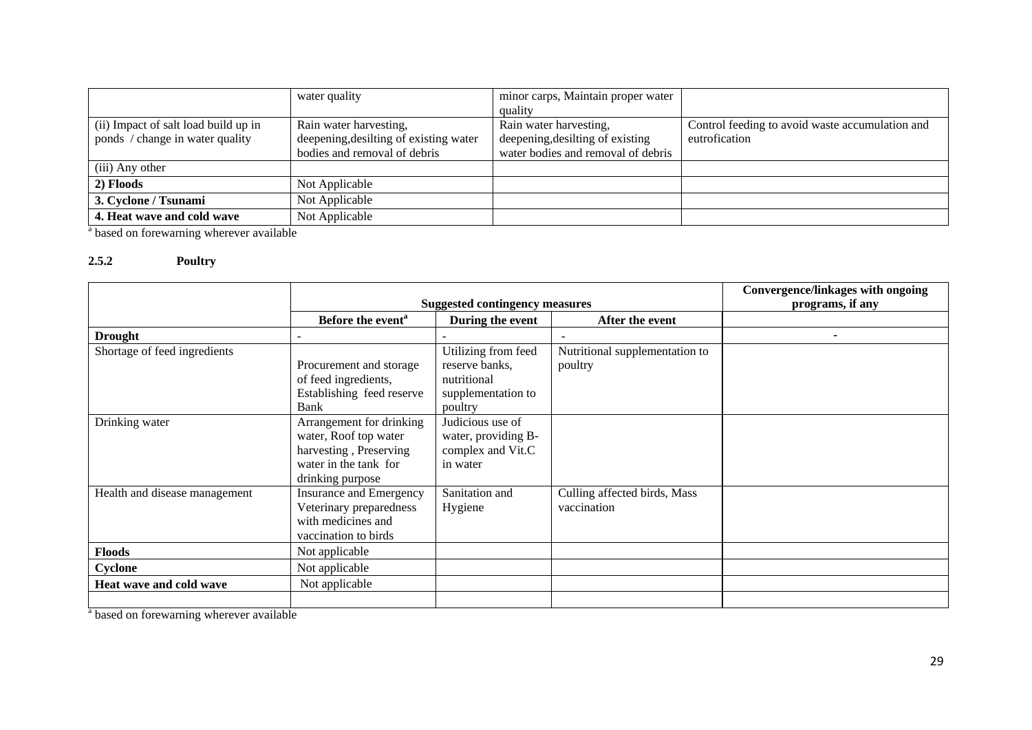|                                      | water quality                          | minor carps, Maintain proper water |                                                 |
|--------------------------------------|----------------------------------------|------------------------------------|-------------------------------------------------|
|                                      |                                        | quality                            |                                                 |
| (ii) Impact of salt load build up in | Rain water harvesting,                 | Rain water harvesting,             | Control feeding to avoid waste accumulation and |
| ponds / change in water quality      | deepening, desilting of existing water | deepening, desilting of existing   | eutrofication                                   |
|                                      | bodies and removal of debris           | water bodies and removal of debris |                                                 |
| (iii) Any other                      |                                        |                                    |                                                 |
| 2) Floods                            | Not Applicable                         |                                    |                                                 |
| 3. Cyclone / Tsunami                 | Not Applicable                         |                                    |                                                 |
| 4. Heat wave and cold wave           | Not Applicable                         |                                    |                                                 |

<sup>a</sup> based on forewarning wherever available

## **2.5.2 Poultry**

|                               |                                       |                     |                                | Convergence/linkages with ongoing |
|-------------------------------|---------------------------------------|---------------------|--------------------------------|-----------------------------------|
|                               | <b>Suggested contingency measures</b> |                     | programs, if any               |                                   |
|                               | Before the event <sup>a</sup>         | During the event    | After the event                |                                   |
| <b>Drought</b>                |                                       |                     | $\overline{\phantom{a}}$       | ٠                                 |
| Shortage of feed ingredients  |                                       | Utilizing from feed | Nutritional supplementation to |                                   |
|                               | Procurement and storage               | reserve banks,      | poultry                        |                                   |
|                               | of feed ingredients,                  | nutritional         |                                |                                   |
|                               | Establishing feed reserve             | supplementation to  |                                |                                   |
|                               | Bank                                  | poultry             |                                |                                   |
| Drinking water                | Arrangement for drinking              | Judicious use of    |                                |                                   |
|                               | water, Roof top water                 | water, providing B- |                                |                                   |
|                               | harvesting, Preserving                | complex and Vit.C   |                                |                                   |
|                               | water in the tank for                 | in water            |                                |                                   |
|                               | drinking purpose                      |                     |                                |                                   |
| Health and disease management | <b>Insurance and Emergency</b>        | Sanitation and      | Culling affected birds, Mass   |                                   |
|                               | Veterinary preparedness               | Hygiene             | vaccination                    |                                   |
|                               | with medicines and                    |                     |                                |                                   |
|                               | vaccination to birds                  |                     |                                |                                   |
| <b>Floods</b>                 | Not applicable                        |                     |                                |                                   |
| Cyclone                       | Not applicable                        |                     |                                |                                   |
| Heat wave and cold wave       | Not applicable                        |                     |                                |                                   |
|                               |                                       |                     |                                |                                   |

<sup>a</sup> based on forewarning wherever available